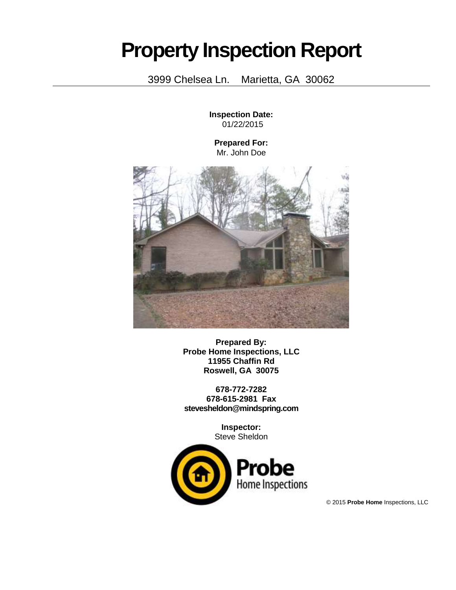## **Property Inspection Report**

3999 Chelsea Ln. Marietta, GA 30062

**Inspection Date:** 01/22/2015

**Prepared For:** Mr. John Doe



**Prepared By: Probe Home Inspections, LLC 11955 Chaffin Rd Roswell, GA 30075**

**678-772-7282 678-615-2981 Fax stevesheldon@mindspring.com**

> **Inspector:** Steve Sheldon



© 2015 **Probe Home** Inspections, LLC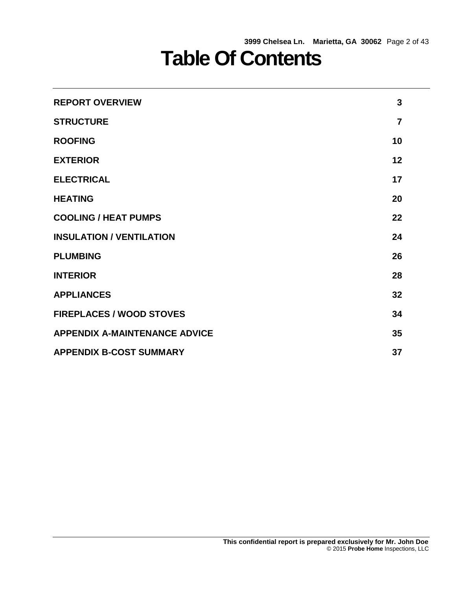## **Table Of Contents**

| <b>REPORT OVERVIEW</b>               | 3              |
|--------------------------------------|----------------|
| <b>STRUCTURE</b>                     | $\overline{7}$ |
| <b>ROOFING</b>                       | 10             |
| <b>EXTERIOR</b>                      | 12             |
| <b>ELECTRICAL</b>                    | 17             |
| <b>HEATING</b>                       | 20             |
| <b>COOLING / HEAT PUMPS</b>          | 22             |
| <b>INSULATION / VENTILATION</b>      | 24             |
| <b>PLUMBING</b>                      | 26             |
| <b>INTERIOR</b>                      | 28             |
| <b>APPLIANCES</b>                    | 32             |
| <b>FIREPLACES / WOOD STOVES</b>      | 34             |
| <b>APPENDIX A-MAINTENANCE ADVICE</b> | 35             |
| <b>APPENDIX B-COST SUMMARY</b>       | 37             |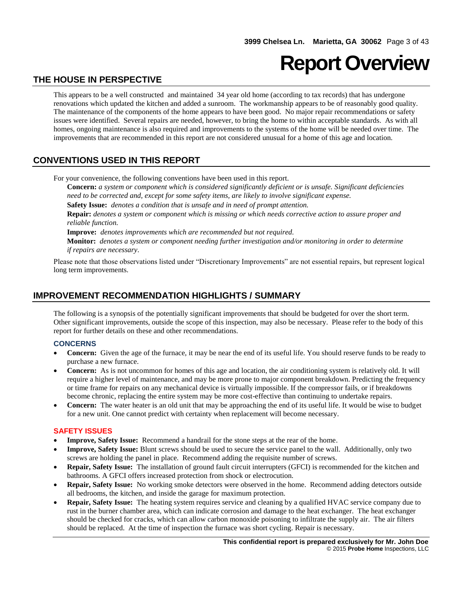## **Report Overview**

## **THE HOUSE IN PERSPECTIVE**

This appears to be a well constructed and maintained 34 year old home (according to tax records) that has undergone renovations which updated the kitchen and added a sunroom. The workmanship appears to be of reasonably good quality. The maintenance of the components of the home appears to have been good. No major repair recommendations or safety issues were identified. Several repairs are needed, however, to bring the home to within acceptable standards. As with all homes, ongoing maintenance is also required and improvements to the systems of the home will be needed over time. The improvements that are recommended in this report are not considered unusual for a home of this age and location.

## **CONVENTIONS USED IN THIS REPORT**

For your convenience, the following conventions have been used in this report.

**Concern:** *a system or component which is considered significantly deficient or is unsafe. Significant deficiencies need to be corrected and, except for some safety items, are likely to involve significant expense.*

**Safety Issue:** *denotes a condition that is unsafe and in need of prompt attention.*

**Repair:** *denotes a system or component which is missing or which needs corrective action to assure proper and reliable function.*

**Improve:** *denotes improvements which are recommended but not required.*

**Monitor:** *denotes a system or component needing further investigation and/or monitoring in order to determine if repairs are necessary*.

Please note that those observations listed under "Discretionary Improvements" are not essential repairs, but represent logical long term improvements.

## **IMPROVEMENT RECOMMENDATION HIGHLIGHTS / SUMMARY**

The following is a synopsis of the potentially significant improvements that should be budgeted for over the short term. Other significant improvements, outside the scope of this inspection, may also be necessary. Please refer to the body of this report for further details on these and other recommendations.

#### **CONCERNS**

- **Concern:** Given the age of the furnace, it may be near the end of its useful life. You should reserve funds to be ready to purchase a new furnace.
- **Concern:** As is not uncommon for homes of this age and location, the air conditioning system is relatively old. It will require a higher level of maintenance, and may be more prone to major component breakdown. Predicting the frequency or time frame for repairs on any mechanical device is virtually impossible. If the compressor fails, or if breakdowns become chronic, replacing the entire system may be more cost-effective than continuing to undertake repairs.
- **Concern:** The water heater is an old unit that may be approaching the end of its useful life. It would be wise to budget for a new unit. One cannot predict with certainty when replacement will become necessary.

#### **SAFETY ISSUES**

- **Improve, Safety Issue:** Recommend a handrail for the stone steps at the rear of the home.
- **Improve, Safety Issue:** Blunt screws should be used to secure the service panel to the wall. Additionally, only two screws are holding the panel in place. Recommend adding the requisite number of screws.
- **Repair, Safety Issue:** The installation of ground fault circuit interrupters (GFCI) is recommended for the kitchen and bathrooms. A GFCI offers increased protection from shock or electrocution.
- **Repair, Safety Issue:** No working smoke detectors were observed in the home. Recommend adding detectors outside all bedrooms, the kitchen, and inside the garage for maximum protection.
- **Repair, Safety Issue:** The heating system requires service and cleaning by a qualified HVAC service company due to rust in the burner chamber area, which can indicate corrosion and damage to the heat exchanger. The heat exchanger should be checked for cracks, which can allow carbon monoxide poisoning to infiltrate the supply air. The air filters should be replaced. At the time of inspection the furnace was short cycling. Repair is necessary.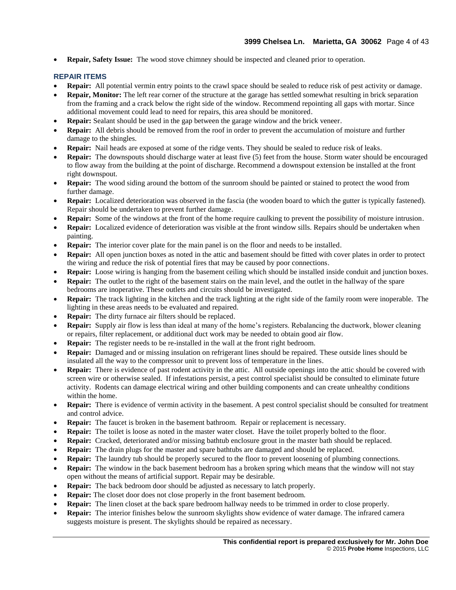**Repair, Safety Issue:** The wood stove chimney should be inspected and cleaned prior to operation.

#### **REPAIR ITEMS**

- **Repair:** All potential vermin entry points to the crawl space should be sealed to reduce risk of pest activity or damage.
- **Repair, Monitor:** The left rear corner of the structure at the garage has settled somewhat resulting in brick separation from the framing and a crack below the right side of the window. Recommend repointing all gaps with mortar. Since additional movement could lead to need for repairs, this area should be monitored.
- **Repair:** Sealant should be used in the gap between the garage window and the brick veneer.
- **Repair:** All debris should be removed from the roof in order to prevent the accumulation of moisture and further damage to the shingles.
- **Repair:** Nail heads are exposed at some of the ridge vents. They should be sealed to reduce risk of leaks.
- **Repair:** The downspouts should discharge water at least five (5) feet from the house. Storm water should be encouraged to flow away from the building at the point of discharge. Recommend a downspout extension be installed at the front right downspout.
- **Repair:** The wood siding around the bottom of the sunroom should be painted or stained to protect the wood from further damage.
- **Repair:** Localized deterioration was observed in the fascia (the wooden board to which the gutter is typically fastened). Repair should be undertaken to prevent further damage.
- **Repair:** Some of the windows at the front of the home require caulking to prevent the possibility of moisture intrusion.
- **Repair:** Localized evidence of deterioration was visible at the front window sills. Repairs should be undertaken when painting.
- **Repair:** The interior cover plate for the main panel is on the floor and needs to be installed.
- **Repair:** All open junction boxes as noted in the attic and basement should be fitted with cover plates in order to protect the wiring and reduce the risk of potential fires that may be caused by poor connections.
- **Repair:** Loose wiring is hanging from the basement ceiling which should be installed inside conduit and junction boxes.
- **Repair:** The outlet to the right of the basement stairs on the main level, and the outlet in the hallway of the spare bedrooms are inoperative. These outlets and circuits should be investigated.
- **Repair:** The track lighting in the kitchen and the track lighting at the right side of the family room were inoperable. The lighting in these areas needs to be evaluated and repaired.
- **Repair:** The dirty furnace air filters should be replaced.
- **Repair:** Supply air flow is less than ideal at many of the home's registers. Rebalancing the ductwork, blower cleaning or repairs, filter replacement, or additional duct work may be needed to obtain good air flow.
- **Repair:** The register needs to be re-installed in the wall at the front right bedroom.
- **Repair:** Damaged and or missing insulation on refrigerant lines should be repaired. These outside lines should be insulated all the way to the compressor unit to prevent loss of temperature in the lines.
- **Repair:** There is evidence of past rodent activity in the attic. All outside openings into the attic should be covered with screen wire or otherwise sealed. If infestations persist, a pest control specialist should be consulted to eliminate future activity. Rodents can damage electrical wiring and other building components and can create unhealthy conditions within the home.
- **Repair:** There is evidence of vermin activity in the basement. A pest control specialist should be consulted for treatment and control advice.
- **Repair:** The faucet is broken in the basement bathroom. Repair or replacement is necessary.
- **Repair:** The toilet is loose as noted in the master water closet. Have the toilet properly bolted to the floor.
- **Repair:** Cracked, deteriorated and/or missing bathtub enclosure grout in the master bath should be replaced.
- **Repair:** The drain plugs for the master and spare bathtubs are damaged and should be replaced.
- **Repair:** The laundry tub should be properly secured to the floor to prevent loosening of plumbing connections.
- **Repair:** The window in the back basement bedroom has a broken spring which means that the window will not stay open without the means of artificial support. Repair may be desirable.
- **Repair:** The back bedroom door should be adjusted as necessary to latch properly.
- **Repair:** The closet door does not close properly in the front basement bedroom.
- **Repair:** The linen closet at the back spare bedroom hallway needs to be trimmed in order to close properly.
- **Repair:** The interior finishes below the sunroom skylights show evidence of water damage. The infrared camera suggests moisture is present. The skylights should be repaired as necessary.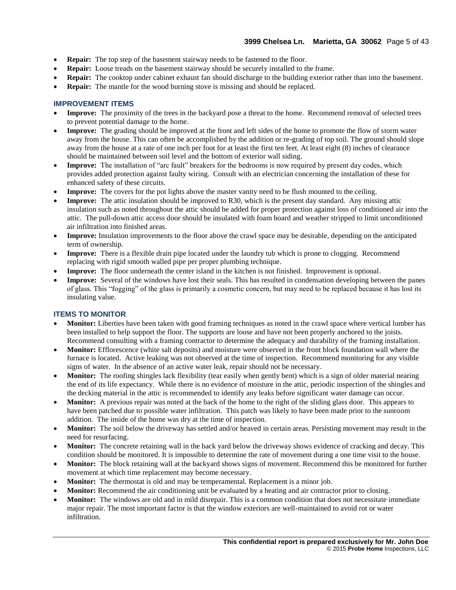- **Repair:** The top step of the basement stairway needs to be fastened to the floor.
- **Repair:** Loose treads on the basement stairway should be securely installed to the frame.
- **Repair:** The cooktop under cabinet exhaust fan should discharge to the building exterior rather than into the basement.
- **Repair:** The mantle for the wood burning stove is missing and should be replaced.

#### **IMPROVEMENT ITEMS**

- **Improve:** The proximity of the trees in the backyard pose a threat to the home. Recommend removal of selected trees to prevent potential damage to the home.
- **Improve:** The grading should be improved at the front and left sides of the home to promote the flow of storm water away from the house. This can often be accomplished by the addition or re-grading of top soil. The ground should slope away from the house at a rate of one inch per foot for at least the first ten feet. At least eight (8) inches of clearance should be maintained between soil level and the bottom of exterior wall siding.
- **Improve:** The installation of "arc fault" breakers for the bedrooms is now required by present day codes, which provides added protection against faulty wiring. Consult with an electrician concerning the installation of these for enhanced safety of these circuits.
- **Improve:** The covers for the pot lights above the master vanity need to be flush mounted to the ceiling.
- **Improve:** The attic insulation should be improved to R30, which is the present day standard. Any missing attic insulation such as noted throughout the attic should be added for proper protection against loss of conditioned air into the attic. The pull-down attic access door should be insulated with foam board and weather stripped to limit unconditioned air infiltration into finished areas.
- **Improve:** Insulation improvements to the floor above the crawl space may be desirable, depending on the anticipated term of ownership.
- **Improve:** There is a flexible drain pipe located under the laundry tub which is prone to clogging. Recommend replacing with rigid smooth walled pipe per proper plumbing technique.
- **Improve:** The floor underneath the center island in the kitchen is not finished. Improvement is optional.
- **Improve:** Several of the windows have lost their seals. This has resulted in condensation developing between the panes of glass. This "fogging" of the glass is primarily a cosmetic concern, but may need to be replaced because it has lost its insulating value.

#### **ITEMS TO MONITOR**

- **Monitor:** Liberties have been taken with good framing techniques as noted in the crawl space where vertical lumber has been installed to help support the floor. The supports are loose and have not been properly anchored to the joists. Recommend consulting with a framing contractor to determine the adequacy and durability of the framing installation.
- **Monitor:** Efflorescence (white salt deposits) and moisture were observed in the front block foundation wall where the furnace is located. Active leaking was not observed at the time of inspection. Recommend monitoring for any visible signs of water. In the absence of an active water leak, repair should not be necessary.
- **Monitor:** The roofing shingles lack flexibility (tear easily when gently bent) which is a sign of older material nearing the end of its life expectancy. While there is no evidence of moisture in the attic, periodic inspection of the shingles and the decking material in the attic is recommended to identify any leaks before significant water damage can occur.
- **Monitor:** A previous repair was noted at the back of the home to the right of the sliding glass door. This appears to have been patched due to possible water infiltration. This patch was likely to have been made prior to the sunroom addition. The inside of the home was dry at the time of inspection.
- **Monitor:** The soil below the driveway has settled and/or heaved in certain areas. Persisting movement may result in the need for resurfacing.
- **Monitor:** The concrete retaining wall in the back yard below the driveway shows evidence of cracking and decay. This condition should be monitored. It is impossible to determine the rate of movement during a one time visit to the house.
- **Monitor:** The block retaining wall at the backyard shows signs of movement. Recommend this be monitored for further movement at which time replacement may become necessary.
- **Monitor:** The thermostat is old and may be temperamental. Replacement is a minor job.
- **Monitor:** Recommend the air conditioning unit be evaluated by a heating and air contractor prior to closing.
- **Monitor:** The windows are old and in mild disrepair. This is a common condition that does not necessitate immediate major repair. The most important factor is that the window exteriors are well-maintained to avoid rot or water infiltration.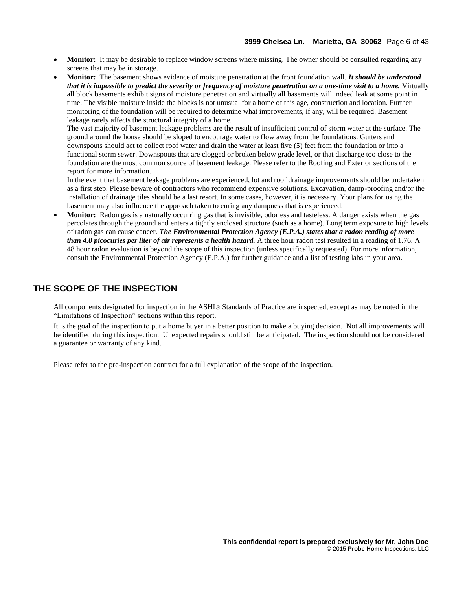- **Monitor:** It may be desirable to replace window screens where missing. The owner should be consulted regarding any screens that may be in storage.
- **Monitor:** The basement shows evidence of moisture penetration at the front foundation wall. *It should be understood that it is impossible to predict the severity or frequency of moisture penetration on a one-time visit to a home.* Virtually all block basements exhibit signs of moisture penetration and virtually all basements will indeed leak at some point in time. The visible moisture inside the blocks is not unusual for a home of this age, construction and location. Further monitoring of the foundation will be required to determine what improvements, if any, will be required. Basement leakage rarely affects the structural integrity of a home.

The vast majority of basement leakage problems are the result of insufficient control of storm water at the surface. The ground around the house should be sloped to encourage water to flow away from the foundations. Gutters and downspouts should act to collect roof water and drain the water at least five (5) feet from the foundation or into a functional storm sewer. Downspouts that are clogged or broken below grade level, or that discharge too close to the foundation are the most common source of basement leakage. Please refer to the Roofing and Exterior sections of the report for more information.

In the event that basement leakage problems are experienced, lot and roof drainage improvements should be undertaken as a first step. Please beware of contractors who recommend expensive solutions. Excavation, damp-proofing and/or the installation of drainage tiles should be a last resort. In some cases, however, it is necessary. Your plans for using the basement may also influence the approach taken to curing any dampness that is experienced.

 **Monitor:** Radon gas is a naturally occurring gas that is invisible, odorless and tasteless. A danger exists when the gas percolates through the ground and enters a tightly enclosed structure (such as a home). Long term exposure to high levels of radon gas can cause cancer. *The Environmental Protection Agency (E.P.A.) states that a radon reading of more than 4.0 picocuries per liter of air represents a health hazard.* A three hour radon test resulted in a reading of 1.76. A 48 hour radon evaluation is beyond the scope of this inspection (unless specifically requested). For more information, consult the Environmental Protection Agency (E.P.A.) for further guidance and a list of testing labs in your area.

## **THE SCOPE OF THE INSPECTION**

All components designated for inspection in the ASHI® Standards of Practice are inspected, except as may be noted in the "Limitations of Inspection" sections within this report.

It is the goal of the inspection to put a home buyer in a better position to make a buying decision. Not all improvements will be identified during this inspection. Unexpected repairs should still be anticipated. The inspection should not be considered a guarantee or warranty of any kind.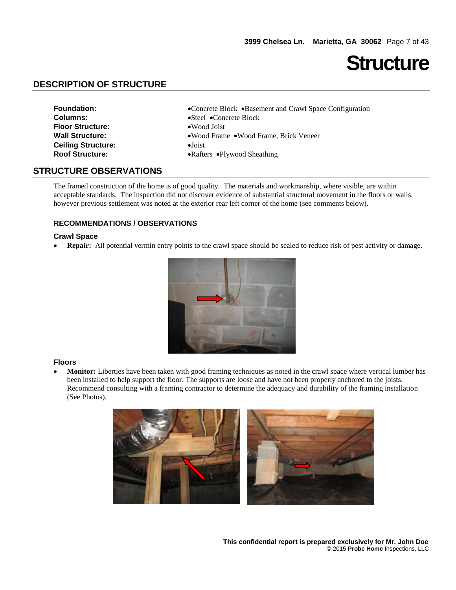## **Structure**

## **DESCRIPTION OF STRUCTURE**

| <b>Foundation:</b>        | •Concrete Block •Basement and Crawl Space Configuration |
|---------------------------|---------------------------------------------------------|
| <b>Columns:</b>           | $\bullet$ Steel $\bullet$ Concrete Block                |
| <b>Floor Structure:</b>   | $\bullet$ Wood Joist                                    |
| <b>Wall Structure:</b>    | •Wood Frame •Wood Frame, Brick Veneer                   |
| <b>Ceiling Structure:</b> | $\bullet$ Joist                                         |
| <b>Roof Structure:</b>    | • Rafters • Plywood Sheathing                           |
|                           |                                                         |

### **STRUCTURE OBSERVATIONS**

The framed construction of the home is of good quality. The materials and workmanship, where visible, are within acceptable standards. The inspection did not discover evidence of substantial structural movement in the floors or walls, however previous settlement was noted at the exterior rear left corner of the home (see comments below).

#### **RECOMMENDATIONS / OBSERVATIONS**

#### **Crawl Space**

**Repair:** All potential vermin entry points to the crawl space should be sealed to reduce risk of pest activity or damage.



#### **Floors**

 **Monitor:** Liberties have been taken with good framing techniques as noted in the crawl space where vertical lumber has been installed to help support the floor. The supports are loose and have not been properly anchored to the joists. Recommend consulting with a framing contractor to determine the adequacy and durability of the framing installation (See Photos).

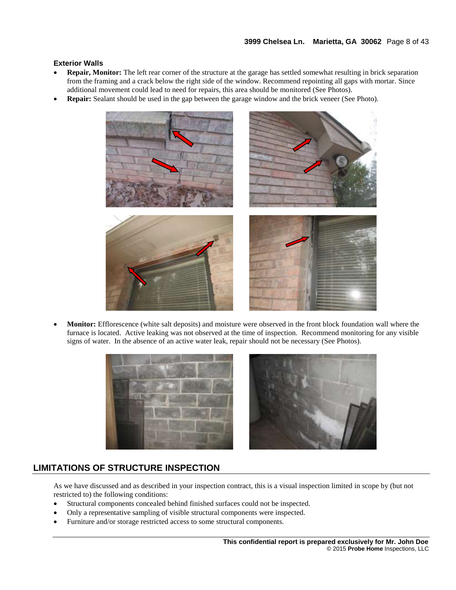#### **Exterior Walls**

- **Repair, Monitor:** The left rear corner of the structure at the garage has settled somewhat resulting in brick separation from the framing and a crack below the right side of the window. Recommend repointing all gaps with mortar. Since additional movement could lead to need for repairs, this area should be monitored (See Photos).
- **Repair:** Sealant should be used in the gap between the garage window and the brick veneer (See Photo).



 **Monitor:** Efflorescence (white salt deposits) and moisture were observed in the front block foundation wall where the furnace is located. Active leaking was not observed at the time of inspection. Recommend monitoring for any visible signs of water. In the absence of an active water leak, repair should not be necessary (See Photos).

![](_page_7_Picture_6.jpeg)

![](_page_7_Picture_7.jpeg)

## **LIMITATIONS OF STRUCTURE INSPECTION**

As we have discussed and as described in your inspection contract, this is a visual inspection limited in scope by (but not restricted to) the following conditions:

- Structural components concealed behind finished surfaces could not be inspected.
- Only a representative sampling of visible structural components were inspected.
- Furniture and/or storage restricted access to some structural components.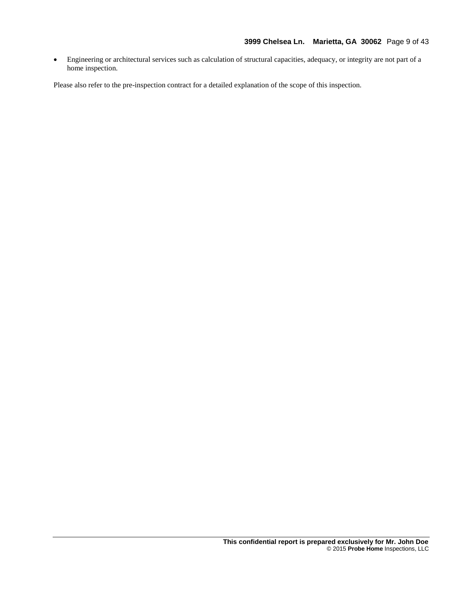Engineering or architectural services such as calculation of structural capacities, adequacy, or integrity are not part of a home inspection.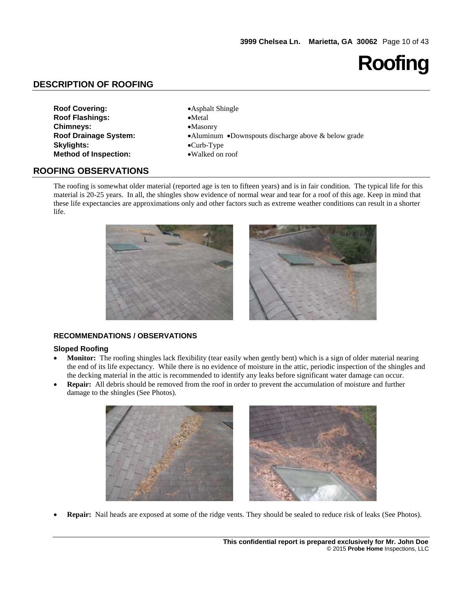## **Roofing**

## **DESCRIPTION OF ROOFING**

| <b>Roof Covering:</b>        |
|------------------------------|
| <b>Roof Flashings:</b>       |
| <b>Chimneys:</b>             |
| <b>Roof Drainage System:</b> |
| <b>Skylights:</b>            |
| <b>Method of Inspection:</b> |

**• Asphalt Shingle**  $\bullet$ **Metal Chimneys:** Masonry **•Aluminum •Downspouts discharge above & below grade**  $\bullet$ Curb-Type **Method of Inspection:** Walked on roof

### **ROOFING OBSERVATIONS**

The roofing is somewhat older material (reported age is ten to fifteen years) and is in fair condition. The typical life for this material is 20-25 years. In all, the shingles show evidence of normal wear and tear for a roof of this age. Keep in mind that these life expectancies are approximations only and other factors such as extreme weather conditions can result in a shorter life.

![](_page_9_Picture_7.jpeg)

#### **RECOMMENDATIONS / OBSERVATIONS**

#### **Sloped Roofing**

- **Monitor:** The roofing shingles lack flexibility (tear easily when gently bent) which is a sign of older material nearing the end of its life expectancy. While there is no evidence of moisture in the attic, periodic inspection of the shingles and the decking material in the attic is recommended to identify any leaks before significant water damage can occur.
- **Repair:** All debris should be removed from the roof in order to prevent the accumulation of moisture and further damage to the shingles (See Photos).

![](_page_9_Picture_12.jpeg)

**Repair:** Nail heads are exposed at some of the ridge vents. They should be sealed to reduce risk of leaks (See Photos).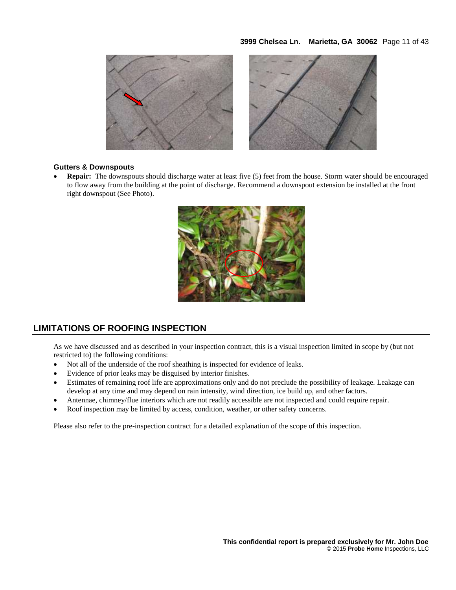#### **3999 Chelsea Ln. Marietta, GA 30062** Page 11 of 43

![](_page_10_Picture_1.jpeg)

#### **Gutters & Downspouts**

 **Repair:** The downspouts should discharge water at least five (5) feet from the house. Storm water should be encouraged to flow away from the building at the point of discharge. Recommend a downspout extension be installed at the front right downspout (See Photo).

![](_page_10_Picture_4.jpeg)

## **LIMITATIONS OF ROOFING INSPECTION**

As we have discussed and as described in your inspection contract, this is a visual inspection limited in scope by (but not restricted to) the following conditions:

- Not all of the underside of the roof sheathing is inspected for evidence of leaks.
- Evidence of prior leaks may be disguised by interior finishes.
- Estimates of remaining roof life are approximations only and do not preclude the possibility of leakage. Leakage can develop at any time and may depend on rain intensity, wind direction, ice build up, and other factors.
- Antennae, chimney/flue interiors which are not readily accessible are not inspected and could require repair.
- Roof inspection may be limited by access, condition, weather, or other safety concerns.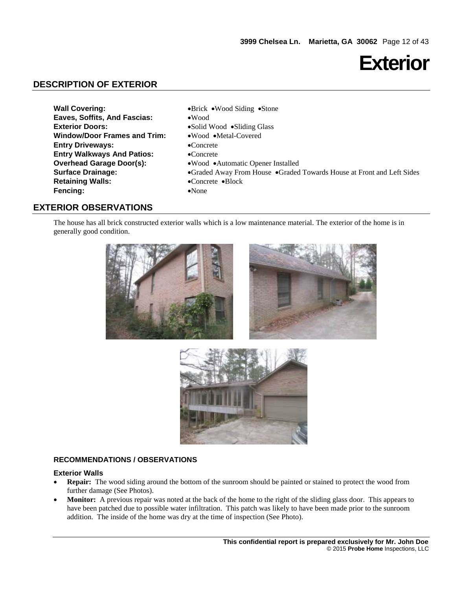## **Exterior**

## **DESCRIPTION OF EXTERIOR**

- **Wall Covering: Wood Siding Stone Eaves, Soffits, And Fascias:** Wood **Exterior Doors:** Solid Wood •Sliding Glass Window/Door Frames and Trim: . Wood Metal-Covered **Entry Driveways:** Concrete **Entry Walkways And Patios:** • Concrete **Overhead Garage Door(s):** • Wood • Automatic Opener Installed **Retaining Walls:** Concrete Block **Fencing:** • None
- **Surface Drainage:** Graded Away From House Graded Towards House at Front and Left Sides

## **EXTERIOR OBSERVATIONS**

The house has all brick constructed exterior walls which is a low maintenance material. The exterior of the home is in generally good condition.

![](_page_11_Picture_7.jpeg)

![](_page_11_Picture_8.jpeg)

![](_page_11_Picture_9.jpeg)

#### **RECOMMENDATIONS / OBSERVATIONS**

#### **Exterior Walls**

- **Repair:** The wood siding around the bottom of the sunroom should be painted or stained to protect the wood from further damage (See Photos).
- **Monitor:** A previous repair was noted at the back of the home to the right of the sliding glass door. This appears to have been patched due to possible water infiltration. This patch was likely to have been made prior to the sunroom addition. The inside of the home was dry at the time of inspection (See Photo).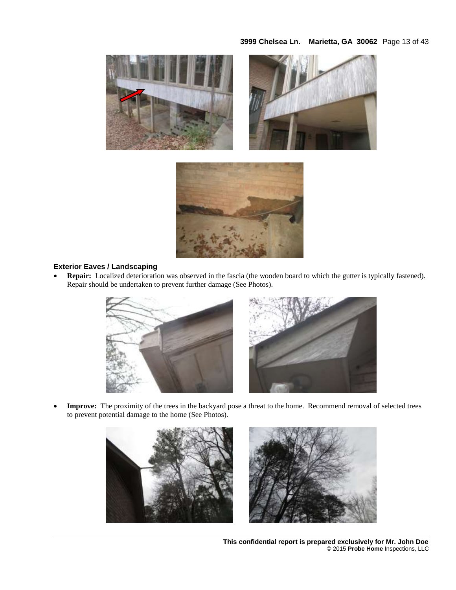#### **3999 Chelsea Ln. Marietta, GA 30062** Page 13 of 43

![](_page_12_Picture_1.jpeg)

![](_page_12_Figure_2.jpeg)

#### **Exterior Eaves / Landscaping**

 **Repair:** Localized deterioration was observed in the fascia (the wooden board to which the gutter is typically fastened). Repair should be undertaken to prevent further damage (See Photos).

![](_page_12_Picture_5.jpeg)

 **Improve:** The proximity of the trees in the backyard pose a threat to the home. Recommend removal of selected trees to prevent potential damage to the home (See Photos).

![](_page_12_Picture_7.jpeg)

**This confidential report is prepared exclusively for Mr. John Doe**  © 2015 **Probe Home** Inspections, LLC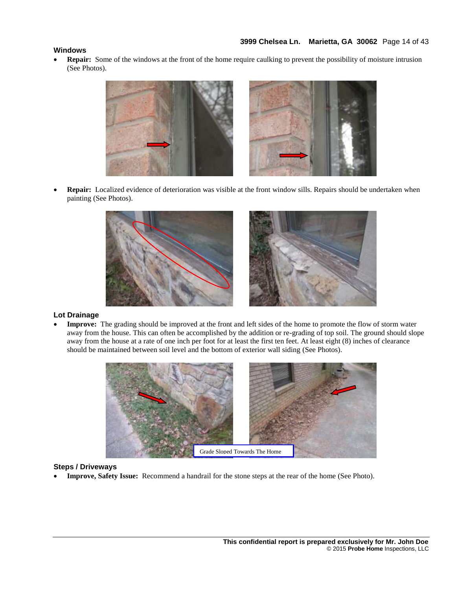#### **Windows**

 **Repair:** Some of the windows at the front of the home require caulking to prevent the possibility of moisture intrusion (See Photos).

![](_page_13_Picture_3.jpeg)

 **Repair:** Localized evidence of deterioration was visible at the front window sills. Repairs should be undertaken when painting (See Photos).

![](_page_13_Figure_5.jpeg)

#### **Lot Drainage**

 **Improve:** The grading should be improved at the front and left sides of the home to promote the flow of storm water away from the house. This can often be accomplished by the addition or re-grading of top soil. The ground should slope away from the house at a rate of one inch per foot for at least the first ten feet. At least eight (8) inches of clearance should be maintained between soil level and the bottom of exterior wall siding (See Photos).

![](_page_13_Picture_8.jpeg)

#### **Steps / Driveways**

**Improve, Safety Issue:** Recommend a handrail for the stone steps at the rear of the home (See Photo).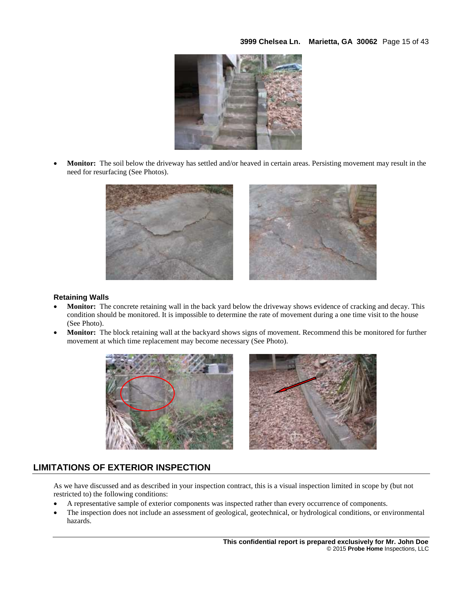**3999 Chelsea Ln. Marietta, GA 30062** Page 15 of 43

![](_page_14_Picture_1.jpeg)

 **Monitor:** The soil below the driveway has settled and/or heaved in certain areas. Persisting movement may result in the need for resurfacing (See Photos).

![](_page_14_Picture_3.jpeg)

#### **Retaining Walls**

- **Monitor:** The concrete retaining wall in the back yard below the driveway shows evidence of cracking and decay. This condition should be monitored. It is impossible to determine the rate of movement during a one time visit to the house (See Photo).
- **Monitor:** The block retaining wall at the backyard shows signs of movement. Recommend this be monitored for further movement at which time replacement may become necessary (See Photo).

![](_page_14_Picture_7.jpeg)

![](_page_14_Picture_8.jpeg)

## **LIMITATIONS OF EXTERIOR INSPECTION**

As we have discussed and as described in your inspection contract, this is a visual inspection limited in scope by (but not restricted to) the following conditions:

- A representative sample of exterior components was inspected rather than every occurrence of components.
- The inspection does not include an assessment of geological, geotechnical, or hydrological conditions, or environmental hazards.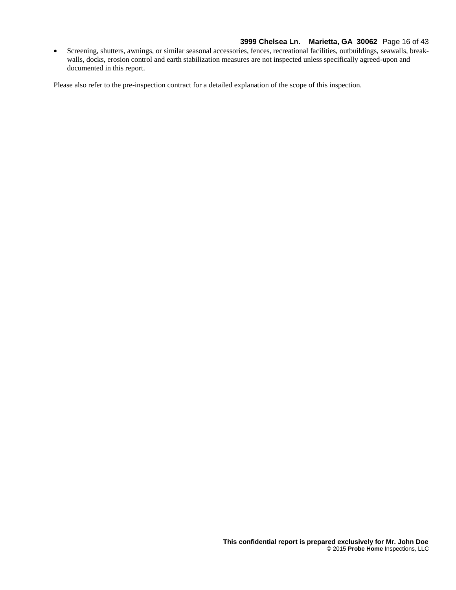#### **3999 Chelsea Ln. Marietta, GA 30062** Page 16 of 43

 Screening, shutters, awnings, or similar seasonal accessories, fences, recreational facilities, outbuildings, seawalls, breakwalls, docks, erosion control and earth stabilization measures are not inspected unless specifically agreed-upon and documented in this report.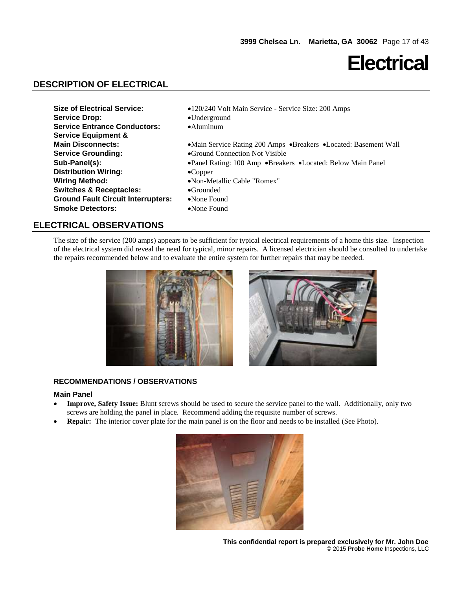## **Electrical**

## **DESCRIPTION OF ELECTRICAL**

| <b>Service Drop:</b><br>$\bullet$ Underground<br><b>Service Entrance Conductors:</b><br>$\bullet$ Aluminum<br><b>Service Equipment &amp;</b>                                                                                                                                                                                                                                                                                                                                                                                                 |  |
|----------------------------------------------------------------------------------------------------------------------------------------------------------------------------------------------------------------------------------------------------------------------------------------------------------------------------------------------------------------------------------------------------------------------------------------------------------------------------------------------------------------------------------------------|--|
| <b>Main Disconnects:</b><br>•Main Service Rating 200 Amps •Breakers •Located: Basement Wall<br><b>Service Grounding:</b><br>•Ground Connection Not Visible<br>Sub-Panel(s):<br>• Panel Rating: 100 Amp • Breakers • Located: Below Main Panel<br><b>Distribution Wiring:</b><br>$\bullet$ Copper<br><b>Wiring Method:</b><br>•Non-Metallic Cable "Romex"<br><b>Switches &amp; Receptacles:</b><br>$\bullet$ Grounded<br><b>Ground Fault Circuit Interrupters:</b><br>$\bullet$ None Found<br><b>Smoke Detectors:</b><br>$\bullet$ None Found |  |

## **ELECTRICAL OBSERVATIONS**

The size of the service (200 amps) appears to be sufficient for typical electrical requirements of a home this size. Inspection of the electrical system did reveal the need for typical, minor repairs. A licensed electrician should be consulted to undertake the repairs recommended below and to evaluate the entire system for further repairs that may be needed.

![](_page_16_Picture_6.jpeg)

![](_page_16_Picture_7.jpeg)

### **RECOMMENDATIONS / OBSERVATIONS**

#### **Main Panel**

- **Improve, Safety Issue:** Blunt screws should be used to secure the service panel to the wall. Additionally, only two screws are holding the panel in place. Recommend adding the requisite number of screws.
- **Repair:** The interior cover plate for the main panel is on the floor and needs to be installed (See Photo).

![](_page_16_Picture_12.jpeg)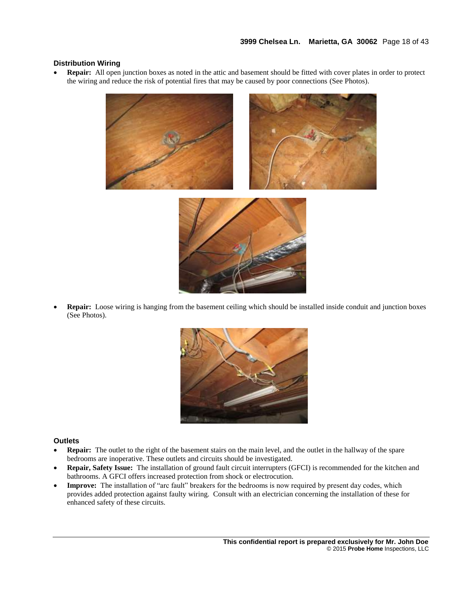#### **Distribution Wiring**

 **Repair:** All open junction boxes as noted in the attic and basement should be fitted with cover plates in order to protect the wiring and reduce the risk of potential fires that may be caused by poor connections (See Photos).

![](_page_17_Picture_3.jpeg)

![](_page_17_Picture_4.jpeg)

 **Repair:** Loose wiring is hanging from the basement ceiling which should be installed inside conduit and junction boxes (See Photos).

![](_page_17_Picture_6.jpeg)

#### **Outlets**

- **Repair:** The outlet to the right of the basement stairs on the main level, and the outlet in the hallway of the spare bedrooms are inoperative. These outlets and circuits should be investigated.
- **Repair, Safety Issue:** The installation of ground fault circuit interrupters (GFCI) is recommended for the kitchen and bathrooms. A GFCI offers increased protection from shock or electrocution.
- **Improve:** The installation of "arc fault" breakers for the bedrooms is now required by present day codes, which provides added protection against faulty wiring. Consult with an electrician concerning the installation of these for enhanced safety of these circuits.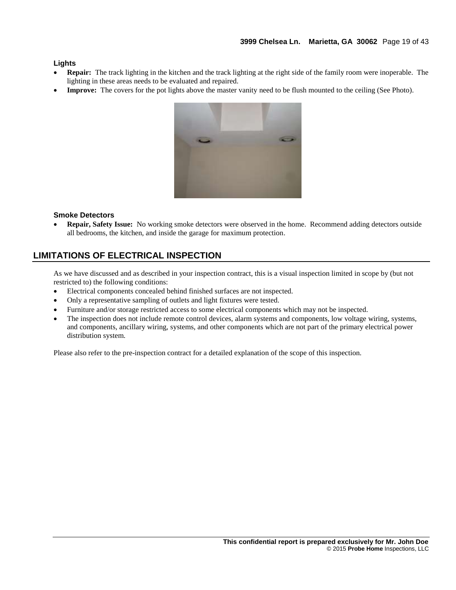#### **Lights**

- **Repair:** The track lighting in the kitchen and the track lighting at the right side of the family room were inoperable. The lighting in these areas needs to be evaluated and repaired.
- **Improve:** The covers for the pot lights above the master vanity need to be flush mounted to the ceiling (See Photo).

![](_page_18_Picture_4.jpeg)

#### **Smoke Detectors**

 **Repair, Safety Issue:** No working smoke detectors were observed in the home. Recommend adding detectors outside all bedrooms, the kitchen, and inside the garage for maximum protection.

## **LIMITATIONS OF ELECTRICAL INSPECTION**

As we have discussed and as described in your inspection contract, this is a visual inspection limited in scope by (but not restricted to) the following conditions:

- Electrical components concealed behind finished surfaces are not inspected.
- Only a representative sampling of outlets and light fixtures were tested.
- Furniture and/or storage restricted access to some electrical components which may not be inspected.
- The inspection does not include remote control devices, alarm systems and components, low voltage wiring, systems, and components, ancillary wiring, systems, and other components which are not part of the primary electrical power distribution system.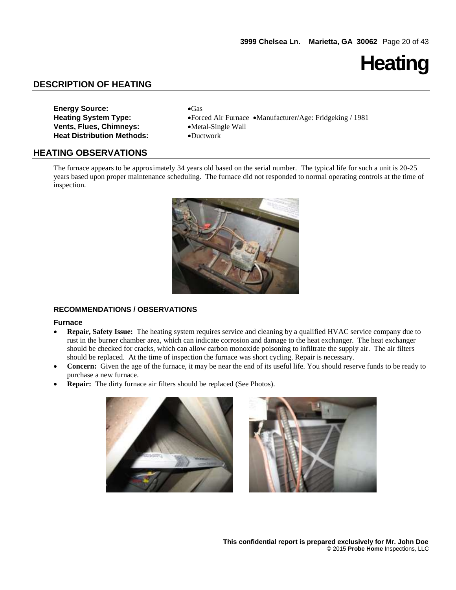**Heating**

## **DESCRIPTION OF HEATING**

| <b>Energy Source:</b>             | $\bullet$ Gas  |
|-----------------------------------|----------------|
| <b>Heating System Type:</b>       | $\bullet$ Forc |
| <b>Vents, Flues, Chimneys:</b>    | $\bullet$ Meta |
| <b>Heat Distribution Methods:</b> | $\bullet$ Duct |

**Heating System Type:** Forced Air Furnace Manufacturer/Age: Fridgeking / 1981 **•Metal-Single Wall**  $\bullet$ Ductwork

#### **HEATING OBSERVATIONS**

The furnace appears to be approximately 34 years old based on the serial number. The typical life for such a unit is 20-25 years based upon proper maintenance scheduling. The furnace did not responded to normal operating controls at the time of inspection.

![](_page_19_Picture_7.jpeg)

#### **RECOMMENDATIONS / OBSERVATIONS**

#### **Furnace**

- **Repair, Safety Issue:** The heating system requires service and cleaning by a qualified HVAC service company due to rust in the burner chamber area, which can indicate corrosion and damage to the heat exchanger. The heat exchanger should be checked for cracks, which can allow carbon monoxide poisoning to infiltrate the supply air. The air filters should be replaced. At the time of inspection the furnace was short cycling. Repair is necessary.
- **Concern:** Given the age of the furnace, it may be near the end of its useful life. You should reserve funds to be ready to purchase a new furnace.
- **Repair:** The dirty furnace air filters should be replaced (See Photos).

![](_page_19_Picture_13.jpeg)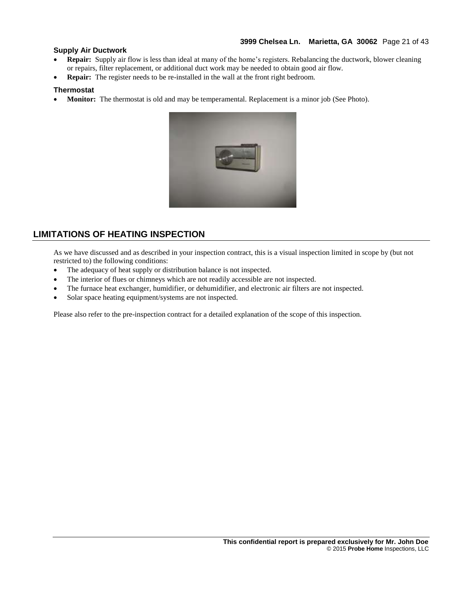#### **3999 Chelsea Ln. Marietta, GA 30062** Page 21 of 43

#### **Supply Air Ductwork**

- **Repair:** Supply air flow is less than ideal at many of the home's registers. Rebalancing the ductwork, blower cleaning or repairs, filter replacement, or additional duct work may be needed to obtain good air flow.
- **Repair:** The register needs to be re-installed in the wall at the front right bedroom.

#### **Thermostat**

**Monitor:** The thermostat is old and may be temperamental. Replacement is a minor job (See Photo).

![](_page_20_Picture_6.jpeg)

## **LIMITATIONS OF HEATING INSPECTION**

As we have discussed and as described in your inspection contract, this is a visual inspection limited in scope by (but not restricted to) the following conditions:

- The adequacy of heat supply or distribution balance is not inspected.
- The interior of flues or chimneys which are not readily accessible are not inspected.
- The furnace heat exchanger, humidifier, or dehumidifier, and electronic air filters are not inspected.
- Solar space heating equipment/systems are not inspected.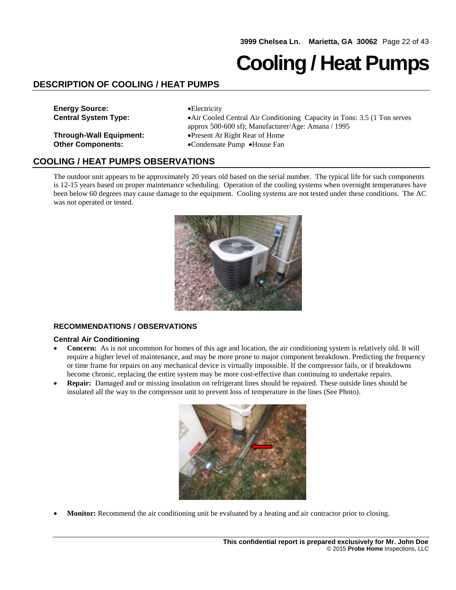## **Cooling / Heat Pumps**

## **DESCRIPTION OF COOLING / HEAT PUMPS**

**Energy Source: Electricity** 

**Other Components:** Condensate Pump • House Fan

**Central System Type:** Air Cooled Central Air Conditioning Capacity in Tons: 3.5 (1 Ton serves approx 500-600 sf); Manufacturer/Age: Amana / 1995 **Through-Wall Equipment:** Present At Right Rear of Home

### **COOLING / HEAT PUMPS OBSERVATIONS**

The outdoor unit appears to be approximately 20 years old based on the serial number. The typical life for such components is 12-15 years based on proper maintenance scheduling. Operation of the cooling systems when overnight temperatures have been below 60 degrees may cause damage to the equipment. Cooling systems are not tested under these conditions. The AC was not operated or tested.

![](_page_21_Picture_9.jpeg)

#### **RECOMMENDATIONS / OBSERVATIONS**

#### **Central Air Conditioning**

- **Concern:** As is not uncommon for homes of this age and location, the air conditioning system is relatively old. It will require a higher level of maintenance, and may be more prone to major component breakdown. Predicting the frequency or time frame for repairs on any mechanical device is virtually impossible. If the compressor fails, or if breakdowns become chronic, replacing the entire system may be more cost-effective than continuing to undertake repairs.
- **Repair:** Damaged and or missing insulation on refrigerant lines should be repaired. These outside lines should be insulated all the way to the compressor unit to prevent loss of temperature in the lines (See Photo).

![](_page_21_Picture_14.jpeg)

**Monitor:** Recommend the air conditioning unit be evaluated by a heating and air contractor prior to closing.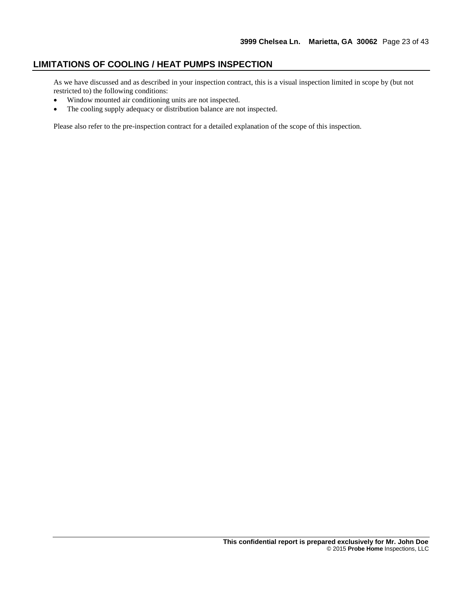## **LIMITATIONS OF COOLING / HEAT PUMPS INSPECTION**

As we have discussed and as described in your inspection contract, this is a visual inspection limited in scope by (but not restricted to) the following conditions:

- Window mounted air conditioning units are not inspected.
- The cooling supply adequacy or distribution balance are not inspected.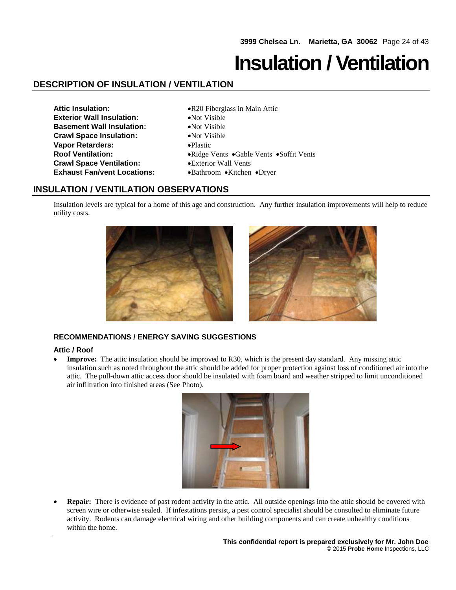## **Insulation / Ventilation**

## **DESCRIPTION OF INSULATION / VENTILATION**

- **Attic Insulation:**  $\bullet R20$  Fiberglass in Main Attic **Exterior Wall Insulation:** • Not Visible **Basement Wall Insulation:** Not Visible **Crawl Space Insulation:** Not Visible **Vapor Retarders:** Plastic **Crawl Space Ventilation:** Exterior Wall Vents **Exhaust Fan/vent Locations:** • • **Bathroom** • Kitchen • Dryer
- **Roof Ventilation:**  $\bullet$  Ridge Vents  $\bullet$  Gable Vents  $\bullet$  Soffit Vents

## **INSULATION / VENTILATION OBSERVATIONS**

Insulation levels are typical for a home of this age and construction. Any further insulation improvements will help to reduce utility costs.

![](_page_23_Figure_7.jpeg)

#### **RECOMMENDATIONS / ENERGY SAVING SUGGESTIONS**

#### **Attic / Roof**

• **Improve:** The attic insulation should be improved to R30, which is the present day standard. Any missing attic insulation such as noted throughout the attic should be added for proper protection against loss of conditioned air into the attic. The pull-down attic access door should be insulated with foam board and weather stripped to limit unconditioned air infiltration into finished areas (See Photo).

![](_page_23_Figure_11.jpeg)

 **Repair:** There is evidence of past rodent activity in the attic. All outside openings into the attic should be covered with screen wire or otherwise sealed. If infestations persist, a pest control specialist should be consulted to eliminate future activity. Rodents can damage electrical wiring and other building components and can create unhealthy conditions within the home.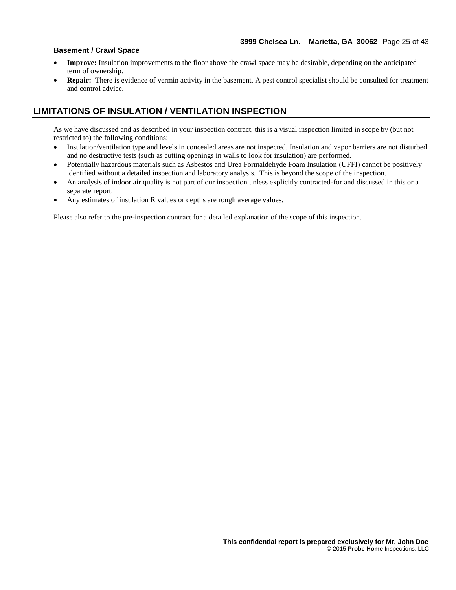#### **Basement / Crawl Space**

- **Improve:** Insulation improvements to the floor above the crawl space may be desirable, depending on the anticipated term of ownership.
- **Repair:** There is evidence of vermin activity in the basement. A pest control specialist should be consulted for treatment and control advice.

## **LIMITATIONS OF INSULATION / VENTILATION INSPECTION**

As we have discussed and as described in your inspection contract, this is a visual inspection limited in scope by (but not restricted to) the following conditions:

- Insulation/ventilation type and levels in concealed areas are not inspected. Insulation and vapor barriers are not disturbed and no destructive tests (such as cutting openings in walls to look for insulation) are performed.
- Potentially hazardous materials such as Asbestos and Urea Formaldehyde Foam Insulation (UFFI) cannot be positively identified without a detailed inspection and laboratory analysis. This is beyond the scope of the inspection.
- An analysis of indoor air quality is not part of our inspection unless explicitly contracted-for and discussed in this or a separate report.
- Any estimates of insulation R values or depths are rough average values.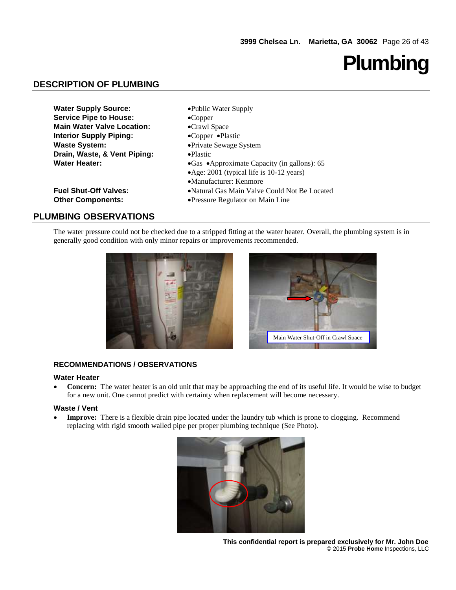# **Plumbing**

## **DESCRIPTION OF PLUMBING**

| <b>Water Supply Source:</b>       | •Public Water Supply                            |
|-----------------------------------|-------------------------------------------------|
| <b>Service Pipe to House:</b>     | $\bullet$ Copper                                |
| <b>Main Water Valve Location:</b> | •Crawl Space                                    |
| <b>Interior Supply Piping:</b>    | •Copper •Plastic                                |
| <b>Waste System:</b>              | • Private Sewage System                         |
| Drain, Waste, & Vent Piping:      | $\bullet$ Plastic                               |
| <b>Water Heater:</b>              | • Gas • Approximate Capacity (in gallons): $65$ |
|                                   | • Age: 2001 (typical life is 10-12 years)       |
|                                   | •Manufacturer: Kenmore                          |
| <b>Fuel Shut-Off Valves:</b>      | •Natural Gas Main Valve Could Not Be Located    |
| <b>Other Components:</b>          | •Pressure Regulator on Main Line                |

## **PLUMBING OBSERVATIONS**

The water pressure could not be checked due to a stripped fitting at the water heater. Overall, the plumbing system is in generally good condition with only minor repairs or improvements recommended.

![](_page_25_Picture_6.jpeg)

![](_page_25_Picture_7.jpeg)

#### **RECOMMENDATIONS / OBSERVATIONS**

#### **Water Heater**

• Concern: The water heater is an old unit that may be approaching the end of its useful life. It would be wise to budget for a new unit. One cannot predict with certainty when replacement will become necessary.

#### **Waste / Vent**

• **Improve:** There is a flexible drain pipe located under the laundry tub which is prone to clogging. Recommend replacing with rigid smooth walled pipe per proper plumbing technique (See Photo).

![](_page_25_Picture_13.jpeg)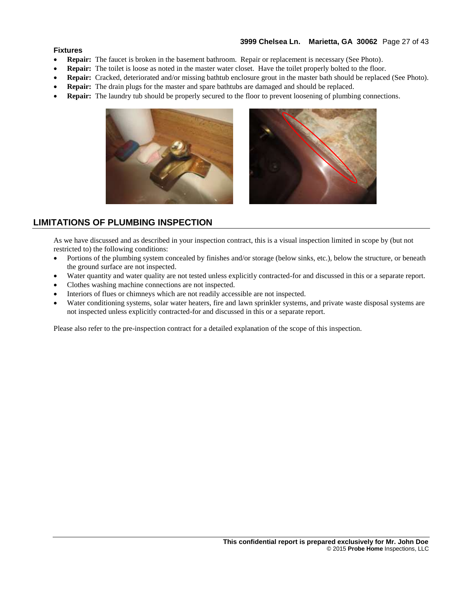#### **3999 Chelsea Ln. Marietta, GA 30062** Page 27 of 43

#### **Fixtures**

- **Repair:** The faucet is broken in the basement bathroom. Repair or replacement is necessary (See Photo).
- **Repair:** The toilet is loose as noted in the master water closet. Have the toilet properly bolted to the floor.
- **Repair:** Cracked, deteriorated and/or missing bathtub enclosure grout in the master bath should be replaced (See Photo).
- **Repair:** The drain plugs for the master and spare bathtubs are damaged and should be replaced.
- **Repair:** The laundry tub should be properly secured to the floor to prevent loosening of plumbing connections.

![](_page_26_Picture_7.jpeg)

![](_page_26_Picture_8.jpeg)

### **LIMITATIONS OF PLUMBING INSPECTION**

As we have discussed and as described in your inspection contract, this is a visual inspection limited in scope by (but not restricted to) the following conditions:

- Portions of the plumbing system concealed by finishes and/or storage (below sinks, etc.), below the structure, or beneath the ground surface are not inspected.
- Water quantity and water quality are not tested unless explicitly contracted-for and discussed in this or a separate report.
- Clothes washing machine connections are not inspected.
- Interiors of flues or chimneys which are not readily accessible are not inspected.
- Water conditioning systems, solar water heaters, fire and lawn sprinkler systems, and private waste disposal systems are not inspected unless explicitly contracted-for and discussed in this or a separate report.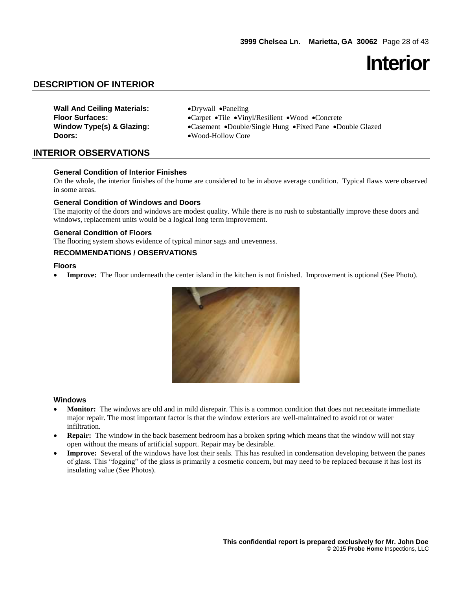## **Interior**

## **DESCRIPTION OF INTERIOR**

**Wall And Ceiling Materials:**  $\bullet$  Drywall  $\bullet$  Paneling **Doors:**  $\bullet \text{Wood-Hollow Core}$ 

Floor Surfaces:  $\bullet$  Carpet  $\bullet$ Tile  $\bullet$ Vinyl/Resilient  $\bullet$ Wood  $\bullet$ Concrete **Window Type(s) & Glazing:** • Casement • Double/Single Hung • Fixed Pane • Double Glazed

### **INTERIOR OBSERVATIONS**

#### **General Condition of Interior Finishes**

On the whole, the interior finishes of the home are considered to be in above average condition. Typical flaws were observed in some areas.

#### **General Condition of Windows and Doors**

The majority of the doors and windows are modest quality. While there is no rush to substantially improve these doors and windows, replacement units would be a logical long term improvement.

#### **General Condition of Floors**

The flooring system shows evidence of typical minor sags and unevenness.

#### **RECOMMENDATIONS / OBSERVATIONS**

#### **Floors**

• **Improve:** The floor underneath the center island in the kitchen is not finished. Improvement is optional (See Photo).

![](_page_27_Picture_15.jpeg)

#### **Windows**

- **Monitor:** The windows are old and in mild disrepair. This is a common condition that does not necessitate immediate major repair. The most important factor is that the window exteriors are well-maintained to avoid rot or water infiltration.
- **Repair:** The window in the back basement bedroom has a broken spring which means that the window will not stay open without the means of artificial support. Repair may be desirable.
- **Improve:** Several of the windows have lost their seals. This has resulted in condensation developing between the panes of glass. This "fogging" of the glass is primarily a cosmetic concern, but may need to be replaced because it has lost its insulating value (See Photos).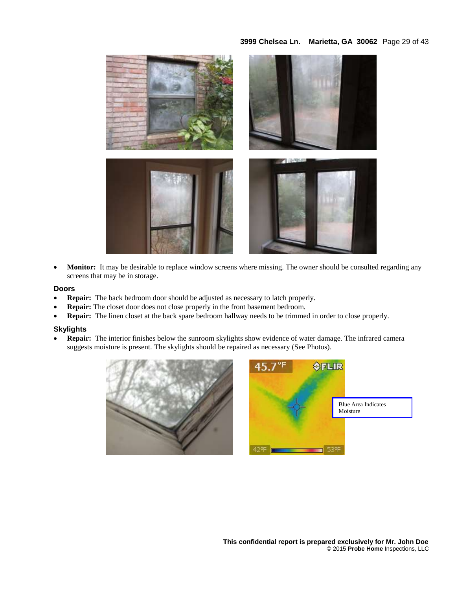#### **3999 Chelsea Ln. Marietta, GA 30062** Page 29 of 43

![](_page_28_Picture_1.jpeg)

• Monitor: It may be desirable to replace window screens where missing. The owner should be consulted regarding any screens that may be in storage.

#### **Doors**

- **Repair:** The back bedroom door should be adjusted as necessary to latch properly.
- **Repair:** The closet door does not close properly in the front basement bedroom.
- **Repair:** The linen closet at the back spare bedroom hallway needs to be trimmed in order to close properly.

#### **Skylights**

 **Repair:** The interior finishes below the sunroom skylights show evidence of water damage. The infrared camera suggests moisture is present. The skylights should be repaired as necessary (See Photos).

![](_page_28_Picture_9.jpeg)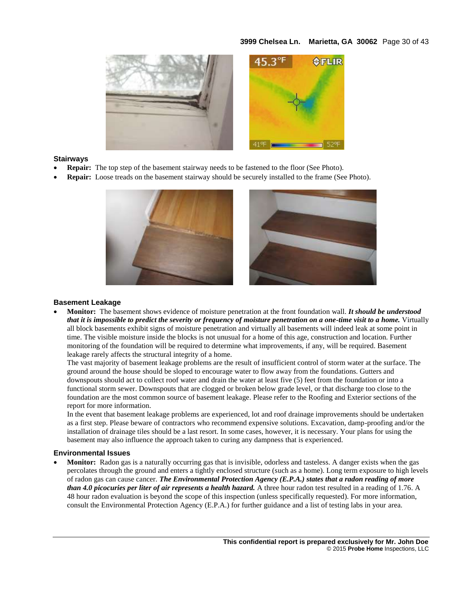#### **3999 Chelsea Ln. Marietta, GA 30062** Page 30 of 43

![](_page_29_Picture_1.jpeg)

#### **Stairways**

- **Repair:** The top step of the basement stairway needs to be fastened to the floor (See Photo).
- **Repair:** Loose treads on the basement stairway should be securely installed to the frame (See Photo).

![](_page_29_Picture_5.jpeg)

#### **Basement Leakage**

 **Monitor:** The basement shows evidence of moisture penetration at the front foundation wall. *It should be understood that it is impossible to predict the severity or frequency of moisture penetration on a one-time visit to a home.* Virtually all block basements exhibit signs of moisture penetration and virtually all basements will indeed leak at some point in time. The visible moisture inside the blocks is not unusual for a home of this age, construction and location. Further monitoring of the foundation will be required to determine what improvements, if any, will be required. Basement leakage rarely affects the structural integrity of a home.

The vast majority of basement leakage problems are the result of insufficient control of storm water at the surface. The ground around the house should be sloped to encourage water to flow away from the foundations. Gutters and downspouts should act to collect roof water and drain the water at least five (5) feet from the foundation or into a functional storm sewer. Downspouts that are clogged or broken below grade level, or that discharge too close to the foundation are the most common source of basement leakage. Please refer to the Roofing and Exterior sections of the report for more information.

In the event that basement leakage problems are experienced, lot and roof drainage improvements should be undertaken as a first step. Please beware of contractors who recommend expensive solutions. Excavation, damp-proofing and/or the installation of drainage tiles should be a last resort. In some cases, however, it is necessary. Your plans for using the basement may also influence the approach taken to curing any dampness that is experienced.

#### **Environmental Issues**

 **Monitor:** Radon gas is a naturally occurring gas that is invisible, odorless and tasteless. A danger exists when the gas percolates through the ground and enters a tightly enclosed structure (such as a home). Long term exposure to high levels of radon gas can cause cancer. *The Environmental Protection Agency (E.P.A.) states that a radon reading of more than 4.0 picocuries per liter of air represents a health hazard.* A three hour radon test resulted in a reading of 1.76. A 48 hour radon evaluation is beyond the scope of this inspection (unless specifically requested). For more information, consult the Environmental Protection Agency (E.P.A.) for further guidance and a list of testing labs in your area.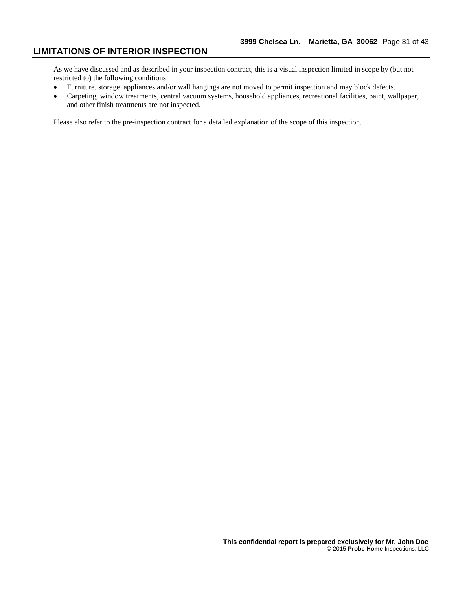## **LIMITATIONS OF INTERIOR INSPECTION**

As we have discussed and as described in your inspection contract, this is a visual inspection limited in scope by (but not restricted to) the following conditions

- Furniture, storage, appliances and/or wall hangings are not moved to permit inspection and may block defects.
- Carpeting, window treatments, central vacuum systems, household appliances, recreational facilities, paint, wallpaper, and other finish treatments are not inspected.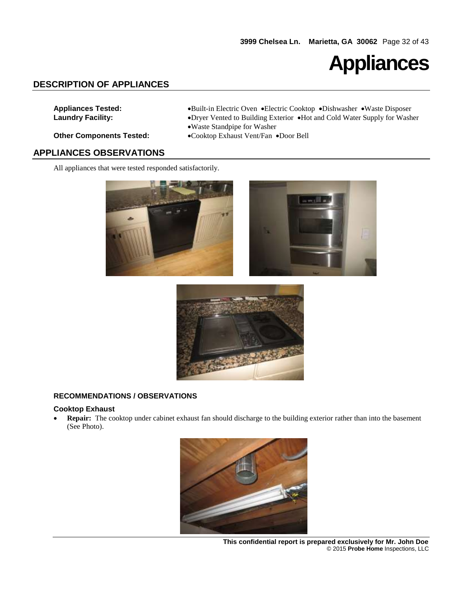![](_page_31_Picture_1.jpeg)

## **DESCRIPTION OF APPLIANCES**

- **Appliances Tested:** Built-in Electric Oven Electric Cooktop Dishwasher Waste Disposer **Laundry Facility:** Dryer Vented to Building Exterior Hot and Cold Water Supply for Washer Waste Standpipe for Washer
	-
- **Other Components Tested:**  $\bullet$  Cooktop Exhaust Vent/Fan  $\bullet$  Door Bell

#### **APPLIANCES OBSERVATIONS**

All appliances that were tested responded satisfactorily.

![](_page_31_Picture_9.jpeg)

![](_page_31_Picture_10.jpeg)

#### **RECOMMENDATIONS / OBSERVATIONS**

#### **Cooktop Exhaust**

 **Repair:** The cooktop under cabinet exhaust fan should discharge to the building exterior rather than into the basement (See Photo).

![](_page_31_Picture_14.jpeg)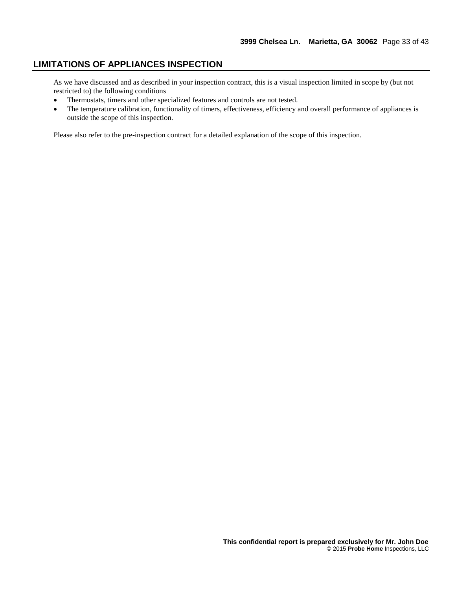### **LIMITATIONS OF APPLIANCES INSPECTION**

As we have discussed and as described in your inspection contract, this is a visual inspection limited in scope by (but not restricted to) the following conditions

- Thermostats, timers and other specialized features and controls are not tested.
- The temperature calibration, functionality of timers, effectiveness, efficiency and overall performance of appliances is outside the scope of this inspection.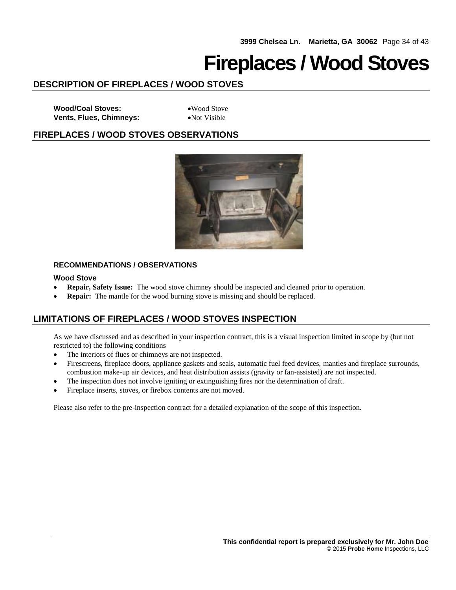## **Fireplaces / Wood Stoves**

## **DESCRIPTION OF FIREPLACES / WOOD STOVES**

Wood/Coal Stoves: Wood Stove **Vents, Flues, Chimneys:** • Not Visible

## **FIREPLACES / WOOD STOVES OBSERVATIONS**

![](_page_33_Picture_6.jpeg)

#### **RECOMMENDATIONS / OBSERVATIONS**

#### **Wood Stove**

- **Repair, Safety Issue:** The wood stove chimney should be inspected and cleaned prior to operation.
- **Repair:** The mantle for the wood burning stove is missing and should be replaced.

## **LIMITATIONS OF FIREPLACES / WOOD STOVES INSPECTION**

As we have discussed and as described in your inspection contract, this is a visual inspection limited in scope by (but not restricted to) the following conditions

- The interiors of flues or chimneys are not inspected.
- Firescreens, fireplace doors, appliance gaskets and seals, automatic fuel feed devices, mantles and fireplace surrounds, combustion make-up air devices, and heat distribution assists (gravity or fan-assisted) are not inspected.
- The inspection does not involve igniting or extinguishing fires nor the determination of draft.
- Fireplace inserts, stoves, or firebox contents are not moved.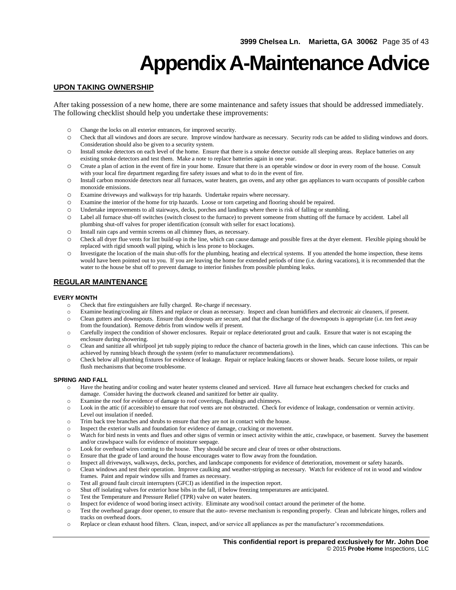## **Appendix A-Maintenance Advice**

#### **UPON TAKING OWNERSHIP**

After taking possession of a new home, there are some maintenance and safety issues that should be addressed immediately. The following checklist should help you undertake these improvements:

- o Change the locks on all exterior entrances, for improved security.
- o Check that all windows and doors are secure. Improve window hardware as necessary. Security rods can be added to sliding windows and doors. Consideration should also be given to a security system.
- o Install smoke detectors on each level of the home. Ensure that there is a smoke detector outside all sleeping areas. Replace batteries on any existing smoke detectors and test them. Make a note to replace batteries again in one year.
- o Create a plan of action in the event of fire in your home. Ensure that there is an operable window or door in every room of the house. Consult with your local fire department regarding fire safety issues and what to do in the event of fire.
- o Install carbon monoxide detectors near all furnaces, water heaters, gas ovens, and any other gas appliances to warn occupants of possible carbon monoxide emissions.
- o Examine driveways and walkways for trip hazards. Undertake repairs where necessary.
- o Examine the interior of the home for trip hazards. Loose or torn carpeting and flooring should be repaired.
- o Undertake improvements to all stairways, decks, porches and landings where there is risk of falling or stumbling.
- o Label all furnace shut-off switches (switch closest to the furnace) to prevent someone from shutting off the furnace by accident. Label all plumbing shut-off valves for proper identification (consult with seller for exact locations).
- o Install rain caps and vermin screens on all chimney flues, as necessary.
- o Check all dryer flue vents for lint build-up in the line, which can cause damage and possible fires at the dryer element. Flexible piping should be replaced with rigid smooth wall piping, which is less prone to blockages.
- o Investigate the location of the main shut-offs for the plumbing, heating and electrical systems. If you attended the home inspection, these items would have been pointed out to you. If you are leaving the home for extended periods of time (i.e. during vacations), it is recommended that the water to the house be shut off to prevent damage to interior finishes from possible plumbing leaks.

#### **REGULAR MAINTENANCE**

#### **EVERY MONTH**

- o Check that fire extinguishers are fully charged. Re-charge if necessary.
- o Examine heating/cooling air filters and replace or clean as necessary. Inspect and clean humidifiers and electronic air cleaners, if present.
- o Clean gutters and downspouts. Ensure that downspouts are secure, and that the discharge of the downspouts is appropriate (i.e. ten feet away from the foundation). Remove debris from window wells if present.
- o Carefully inspect the condition of shower enclosures. Repair or replace deteriorated grout and caulk. Ensure that water is not escaping the enclosure during showering.
- o Clean and sanitize all whirlpool jet tub supply piping to reduce the chance of bacteria growth in the lines, which can cause infections. This can be achieved by running bleach through the system (refer to manufacturer recommendations).
- o Check below all plumbing fixtures for evidence of leakage. Repair or replace leaking faucets or shower heads. Secure loose toilets, or repair flush mechanisms that become troublesome.

#### **SPRING AND FALL**

- o Have the heating and/or cooling and water heater systems cleaned and serviced. Have all furnace heat exchangers checked for cracks and damage. Consider having the ductwork cleaned and sanitized for better air quality.
- o Examine the roof for evidence of damage to roof coverings, flashings and chimneys.
- o Look in the attic (if accessible) to ensure that roof vents are not obstructed. Check for evidence of leakage, condensation or vermin activity. Level out insulation if needed.
- o Trim back tree branches and shrubs to ensure that they are not in contact with the house.
- Inspect the exterior walls and foundation for evidence of damage, cracking or movement.
- o Watch for bird nests in vents and flues and other signs of vermin or insect activity within the attic, crawlspace, or basement. Survey the basement and/or crawlspace walls for evidence of moisture seepage.
- o Look for overhead wires coming to the house. They should be secure and clear of trees or other obstructions.
- o Ensure that the grade of land around the house encourages water to flow away from the foundation.
- o Inspect all driveways, walkways, decks, porches, and landscape components for evidence of deterioration, movement or safety hazards.
- o Clean windows and test their operation. Improve caulking and weather-stripping as necessary. Watch for evidence of rot in wood and window frames. Paint and repair window sills and frames as necessary.
- o Test all ground fault circuit interrupters (GFCI) as identified in the inspection report.
- o Shut off isolating valves for exterior hose bibs in the fall, if below freezing temperatures are anticipated.
- o Test the Temperature and Pressure Relief (TPR) valve on water heaters.
- o Inspect for evidence of wood boring insect activity. Eliminate any wood/soil contact around the perimeter of the home.
- o Test the overhead garage door opener, to ensure that the auto- reverse mechanism is responding properly. Clean and lubricate hinges, rollers and tracks on overhead doors.
- o Replace or clean exhaust hood filters. Clean, inspect, and/or service all appliances as per the manufacturer's recommendations.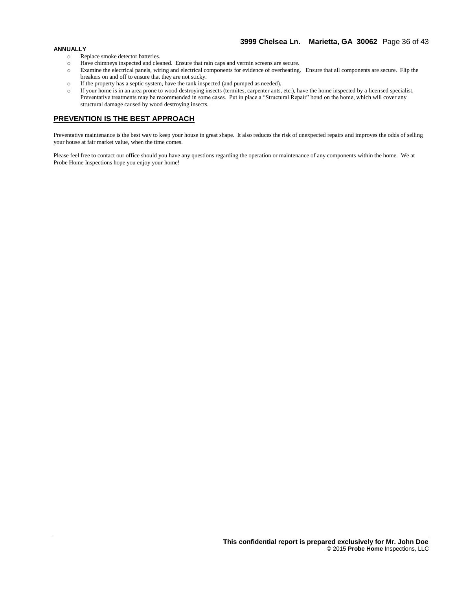#### **ANNUALLY**

- o Replace smoke detector batteries.
- o Have chimneys inspected and cleaned. Ensure that rain caps and vermin screens are secure.
- o Examine the electrical panels, wiring and electrical components for evidence of overheating. Ensure that all components are secure. Flip the breakers on and off to ensure that they are not sticky.
- o If the property has a septic system, have the tank inspected (and pumped as needed).
- o If your home is in an area prone to wood destroying insects (termites, carpenter ants, etc.), have the home inspected by a licensed specialist. Preventative treatments may be recommended in some cases. Put in place a "Structural Repair" bond on the home, which will cover any structural damage caused by wood destroying insects.

#### **PREVENTION IS THE BEST APPROACH**

Preventative maintenance is the best way to keep your house in great shape. It also reduces the risk of unexpected repairs and improves the odds of selling your house at fair market value, when the time comes.

Please feel free to contact our office should you have any questions regarding the operation or maintenance of any components within the home. We at Probe Home Inspections hope you enjoy your home!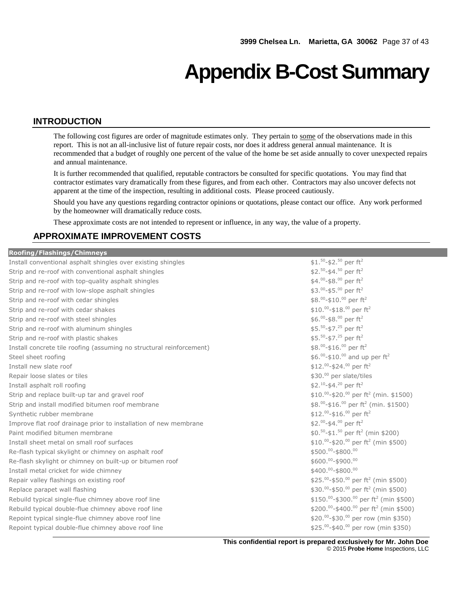## **Appendix B-Cost Summary**

#### **INTRODUCTION**

The following cost figures are order of magnitude estimates only. They pertain to some of the observations made in this report. This is not an all-inclusive list of future repair costs, nor does it address general annual maintenance. It is recommended that a budget of roughly one percent of the value of the home be set aside annually to cover unexpected repairs and annual maintenance.

It is further recommended that qualified, reputable contractors be consulted for specific quotations. You may find that contractor estimates vary dramatically from these figures, and from each other. Contractors may also uncover defects not apparent at the time of the inspection, resulting in additional costs. Please proceed cautiously.

Should you have any questions regarding contractor opinions or quotations, please contact our office. Any work performed by the homeowner will dramatically reduce costs.

These approximate costs are not intended to represent or influence, in any way, the value of a property.

### **APPROXIMATE IMPROVEMENT COSTS**

| <b>Roofing/Flashings/Chimneys</b>                                    |                                                                |
|----------------------------------------------------------------------|----------------------------------------------------------------|
| Install conventional asphalt shingles over existing shingles         | $$1.^{50}$ -\$2. <sup>50</sup> per ft <sup>2</sup>             |
| Strip and re-roof with conventional asphalt shingles                 | \$2. $50 - $4.50$ per ft <sup>2</sup>                          |
| Strip and re-roof with top-quality asphalt shingles                  | \$4.00-\$8.00 per ft <sup>2</sup>                              |
| Strip and re-roof with low-slope asphalt shingles                    | $$3.^{00}$ -\$5. $^{00}$ per ft <sup>2</sup>                   |
| Strip and re-roof with cedar shingles                                | $$8.^{00}$ -\$10. $^{00}$ per ft <sup>2</sup>                  |
| Strip and re-roof with cedar shakes                                  | \$10.00-\$18.00 per $ft^2$                                     |
| Strip and re-roof with steel shingles                                | $$6.^{00}$ -\$8. $^{00}$ per ft <sup>2</sup>                   |
| Strip and re-roof with aluminum shingles                             | $$5.^{50}$ -\$7. <sup>25</sup> per ft <sup>2</sup>             |
| Strip and re-roof with plastic shakes                                | $$5.^{50}$ -\$7. <sup>25</sup> per ft <sup>2</sup>             |
| Install concrete tile roofing (assuming no structural reinforcement) | \$8.00-\$16.00 per ft <sup>2</sup>                             |
| Steel sheet roofing                                                  | \$6.00-\$10.00 and up per $ft^2$                               |
| Install new slate roof                                               | \$12.00-\$24.00 per $ft^2$                                     |
| Repair loose slates or tiles                                         | \$30.00 per slate/tiles                                        |
| Install asphalt roll roofing                                         | \$2.10-\$4.20 per ft <sup>2</sup>                              |
| Strip and replace built-up tar and gravel roof                       | $$10.^{00}$ -\$20. $^{00}$ per ft <sup>2</sup> (min. \$1500)   |
| Strip and install modified bitumen roof membrane                     | \$8.00-\$16.00 per ft <sup>2</sup> (min. \$1500)               |
| Synthetic rubber membrane                                            | \$12.00-\$16.00 per $ft^2$                                     |
| Improve flat roof drainage prior to installation of new membrane     | \$2.00-\$4.00 per $ft^2$                                       |
| Paint modified bitumen membrane                                      | $$0.^{50}$ -\$1. <sup>50</sup> per ft <sup>2</sup> (min \$200) |
| Install sheet metal on small roof surfaces                           | \$10.00-\$20.00 per ft <sup>2</sup> (min \$500)                |
| Re-flash typical skylight or chimney on asphalt roof                 | \$500.00-\$800.00                                              |
| Re-flash skylight or chimney on built-up or bitumen roof             | \$600.00-\$900.00                                              |
| Install metal cricket for wide chimney                               | \$400.00-\$800.00                                              |
| Repair valley flashings on existing roof                             | \$25.00-\$50.00 per ft <sup>2</sup> (min \$500)                |
| Replace parapet wall flashing                                        | \$30.00-\$50.00 per ft <sup>2</sup> (min \$500)                |
| Rebuild typical single-flue chimney above roof line                  | \$150.00-\$300.00 per ft <sup>2</sup> (min \$500)              |
| Rebuild typical double-flue chimney above roof line                  | \$200.00-\$400.00 per ft <sup>2</sup> (min \$500)              |
| Repoint typical single-flue chimney above roof line                  | \$20.00-\$30.00 per row (min \$350)                            |
| Repoint typical double-flue chimney above roof line                  | \$25.00-\$40.00 per row (min \$350)                            |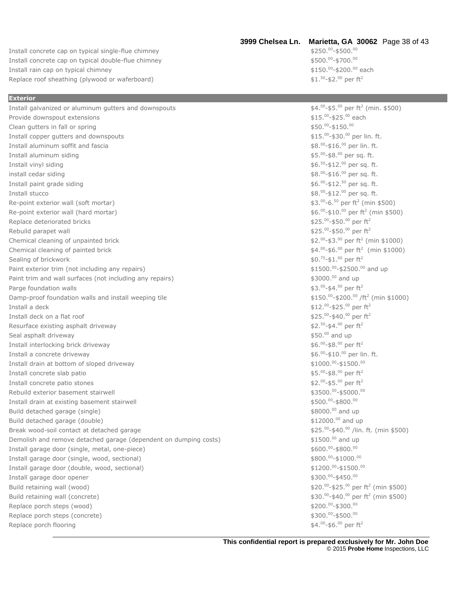Install concrete cap on typical single-flue chimney Install concrete cap on typical double-flue chimney Install rain cap on typical chimney Replace roof sheathing (plywood or waferboard)

**Exterior**

#### **3999 Chelsea Ln. Marietta, GA 30062** Page 38 of 43

 $00 - $500.^00$  $00 - $700$ . $00$ <sup>00</sup>-\$200.<sup>00</sup> each  $50 - $2.^{00}$  per ft<sup>2</sup>

### Install galvanized or aluminum gutters and downspouts \$4.<sup>00</sup> Provide downspout extensions Clean gutters in fall or spring Install copper gutters and downspouts Install aluminum soffit and fascia \$8.<sup>00</sup> Install aluminum siding Install vinyl siding \$6. install cedar siding Install paint grade siding Install stucco Re-point exterior wall (soft mortar) Re-point exterior wall (hard mortar) Replace deteriorated bricks Rebuild parapet wall Chemical cleaning of unpainted brick \$2. Chemical cleaning of painted brick \$4. Sealing of brickwork Paint exterior trim (not including any repairs) Paint trim and wall surfaces (not including any repairs) Parge foundation walls Damp-proof foundation walls and install weeping tile Install a deck Install deck on a flat roof \$25. Resurface existing asphalt driveway Seal asphalt driveway Install interlocking brick driveway \$6.<sup>00</sup> Install a concrete driveway \$6. Install drain at bottom of sloped driveway Install concrete slab patio \$5. Install concrete patio stones Rebuild exterior basement stairwell Install drain at existing basement stairwell Build detached garage (single) **build be absoluted by the set of the set of the set of the set of the set of the set of the set of the set of the set of the set of the set of the set of the set of the set of the set of the** Build detached garage (double) **build be a set of the set of the set of the set of the set of the set of the set of the set of the set of the set of the set of the set of the set of the set of the set of the set of the set** Break wood-soil contact at detached garage Demolish and remove detached garage (dependent on dumping costs) \$1500.00 and up Install garage door (single, metal, one-piece) Install garage door (single, wood, sectional) Install garage door (double, wood, sectional) Install garage door opener Build retaining wall (wood) Build retaining wall (concrete) Replace porch steps (wood) Replace porch steps (concrete) Replace porch flooring

 $-$ \$5. $^{00}$  per ft<sup>2</sup> (min. \$500) <sup>00</sup>-\$25.<sup>00</sup> each  $00 - $150.00$ 00-\$30.00 per lin. ft. -\$16. <sup>00</sup> per lin. ft. 00-\$8.00 per sq. ft.  $50 - $12.^{00}$  per sq. ft.  $00 - $16.00$  per sq. ft.  $00 - $12$ .  $50$  per sq. ft.  $00 - $12$ .  $00$  per sq. ft.  $-6.^{50}$  per ft<sup>2</sup> (min \$500)  $-$ \$10.<sup>00</sup> per ft<sup>2</sup> (min \$500)  $\rm ^{00}$ -\$50. $\rm ^{00}$  per ft<sup>2</sup>  $\rm ^{00}$ -\$50. $\rm ^{00}$  per ft<sup>2</sup>  $^{00}$ -\$3. $^{00}$  per ft<sup>2</sup> (min \$1000)  $00$ -\$6. $00$  per ft<sup>2</sup> (min \$1000)  $75 - $1.^{00}$  per ft<sup>2</sup> 00-\$2500.00 and up  $$3000.<sup>00</sup>$  and up  $$3.^{00}$ -\$4. $^{00}$  per ft<sup>2</sup>  $-$ \$200. $^{00}$  /ft<sup>2</sup> (min \$1000)  $00 - $25$ .  $00$  per ft<sup>2</sup>  $00 - $40.00$  per ft<sup>2</sup>  $$2.^{50}$ -\$4.00 per ft<sup>2</sup>  $$50.^{00}$  and up  $$6.^{00}$ -\$8. $^{00}$  per ft<sup>2</sup>  $00-$ \$10. $00$  per lin. ft.  $^{00}$ -\$1500. $^{00}$  $\rm ^{00}$ -\$8. $\rm ^{00}$  per ft<sup>2</sup>  $\rm ^{00}$ -\$5. $\rm ^{00}$  per ft<sup>2</sup>  $$3500.^{00}$ -\$5000.00  $00 - $800.00$ 00-\$40.00 /lin. ft. (min \$500) \$600.00-\$800.00  $$800.^{00}$ -\$1000.00  $$1200.^{00}$ -\$1500.00  $$300.^{00}$ -\$450. $^{00}$  $-$ \$25. $\rm{^{00}}$  per ft<sup>2</sup> (min \$500)  $-$ \$40.<sup>00</sup> per ft<sup>2</sup> (min \$500)  $$200.^{00}$ -\$300.00  $$300.^{00}$ -\$500.00 <sup>00</sup>-\$6.<sup>00</sup> per ft<sup>2</sup>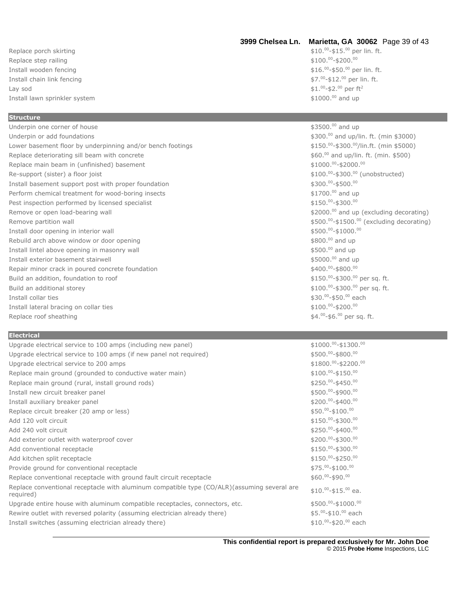Replace porch skirting Replace step railing Install wooden fencing \$16. Install chain link fencing  $\quad$  Lay sod  $$1.$ Install lawn sprinkler system  $$1000.^00$  and up

#### **Structure**

Underpin one corner of house  $$3500.^00$  and up Underpin or add foundations **by a strategies of the strategies of the strategies of the strategies of the strategies of the strategies of the strategies of the strategies of the strategies of the strategies of the strategi** Lower basement floor by underpinning and/or bench footings Replace deteriorating sill beam with concrete  $$60.00$  and up/lin. ft. (min. \$500) Replace main beam in (unfinished) basement Re-support (sister) a floor joist Install basement support post with proper foundation Perform chemical treatment for wood-boring insects example the state of the state of the state of the state of the state of the state of the state of the state of the state of the state of the state of the state of the sta Pest inspection performed by licensed specialist Remove or open load-bearing wall  $\sim$  Remove or open load-bearing wall  $\sim$  82000.<sup>00</sup> and up (excluding decorating) Remove partition wall Install door opening in interior wall Rebuild arch above window or door opening the state of the state of the state of the state of the state of the state of the state of the state of the state of the state of the state of the state of the state of the state o Install lintel above opening in masonry wall and up and up to the state of the state of the state of the state of the state of the state of the state of the state of the state of the state of the state of the state of the Install exterior basement stairwell  $$5000.^0$  and up Repair minor crack in poured concrete foundation Build an addition, foundation to roof Build an additional storey Install collar ties Install lateral bracing on collar ties Replace roof sheathing

#### **Electrical**

| Upgrade electrical service to 100 amps (including new panel)                                              | $$1000.^{00}$ -\$1300.00             |
|-----------------------------------------------------------------------------------------------------------|--------------------------------------|
| Upgrade electrical service to 100 amps (if new panel not required)                                        | \$500.00-\$800.00                    |
| Upgrade electrical service to 200 amps                                                                    | $$1800.^{00}$ -\$2200. <sup>00</sup> |
| Replace main ground (grounded to conductive water main)                                                   | $$100.^{00}$ -\$150.00               |
| Replace main ground (rural, install ground rods)                                                          | $$250.^{00}$ -\$450.00               |
| Install new circuit breaker panel                                                                         | $$500.^{00}$ -\$900. <sup>00</sup>   |
| Install auxiliary breaker panel                                                                           | $$200.^{00}$ -\$400.00               |
| Replace circuit breaker (20 amp or less)                                                                  | $$50.^{00}$ -\$100.00                |
| Add 120 volt circuit                                                                                      | $$150.^{00}$ -\$300. $^{00}$         |
| Add 240 volt circuit                                                                                      | $$250.^{00}$ -\$400.00               |
| Add exterior outlet with waterproof cover                                                                 | $$200.^{00}$ -\$300.00               |
| Add conventional receptacle                                                                               | $$150.^{00}$ -\$300.00               |
| Add kitchen split receptacle                                                                              | $$150.^{00}$ -\$250.00               |
| Provide ground for conventional receptacle                                                                | $$75.^{00}$ -\$100.00                |
| Replace conventional receptacle with ground fault circuit receptacle                                      | $$60.^{00}$ -\$90. $^{00}$           |
| Replace conventional receptacle with aluminum compatible type (CO/ALR) (assuming several are<br>reguired) | $$10.^{00}$ -\$15. $^{00}$ ea.       |
| Upgrade entire house with aluminum compatible receptacles, connectors, etc.                               | $$500.^{00}$ -\$1000.00              |
| Rewire outlet with reversed polarity (assuming electrician already there)                                 | \$5.00-\$10.00 each                  |
| Install switches (assuming electrician already there)                                                     | \$10.00-\$20.00 each                 |

## **3999 Chelsea Ln. Marietta, GA 30062** Page 39 of 43

 $-$ \$15. $\rm{^{00}}$  per lin. ft.  $$100.^{00}$ -\$200.00  $^{00}$ -\$50. $^{00}$  per lin. ft.  $00 - $12.^{00}$  per lin. ft. <sup>00</sup>-\$2.<sup>00</sup> per ft<sup>2</sup>

## $$150.^{00}$ -\$300. $^{00}$ /lin.ft. (min \$5000)  $$1000.^{00}$ -\$2000.00 \$100.00-\$300.00 (unobstructed)  $$300.^{00}$ -\$500.00  $00 - $300.00$  $$500.^{00}$ -\$1500. $^{00}$  (excluding decorating)  $00 - $1000.00$  $$400.^{00}$ -\$800.00 00-\$300.00 per sq. ft. 00-\$300.00 per sq. ft. 00-\$50.00 each  $$100.^{00}$ -\$200.00 00-\$6.00 per sq. ft.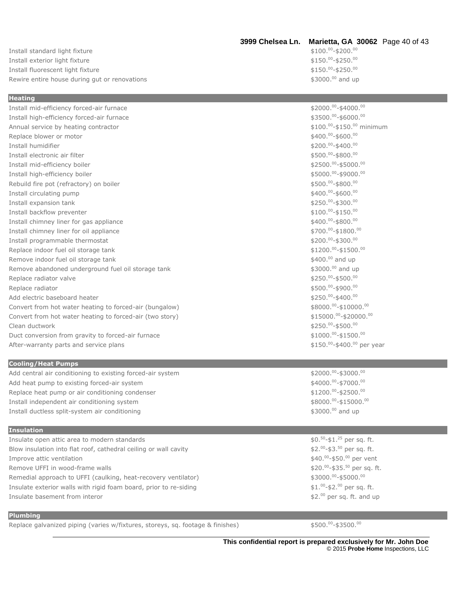#### Install standard light fixture Install exterior light fixture Install fluorescent light fixture Rewire entire house during gut or renovations  $$3000.^0$  and up

## **3999 Chelsea Ln. Marietta, GA 30062** Page 40 of 43

 $00 - $200.00$  $$150.^{00}$ -\$250. $^{00}$  $$150.^{00}$ -\$250.00

| <b>Heating</b>                                                    |                                        |
|-------------------------------------------------------------------|----------------------------------------|
| Install mid-efficiency forced-air furnace                         | \$2000.00-\$4000.00                    |
| Install high-efficiency forced-air furnace                        | \$3500.00-\$6000.00                    |
| Annual service by heating contractor                              | \$100.00-\$150.00 minimum              |
| Replace blower or motor                                           | \$400.00-\$600.00                      |
| Install humidifier                                                | \$200.00-\$400.00                      |
| Install electronic air filter                                     | \$500.00-\$800.00                      |
| Install mid-efficiency boiler                                     | \$2500.00-\$5000.00                    |
| Install high-efficiency boiler                                    | \$5000.00-\$9000.00                    |
| Rebuild fire pot (refractory) on boiler                           | \$500.00-\$800.00                      |
| Install circulating pump                                          | \$400.00-\$600.00                      |
| Install expansion tank                                            | \$250.00-\$300.00                      |
| Install backflow preventer                                        | $$100.^{00}$ -\$150.00                 |
| Install chimney liner for gas appliance                           | \$400.00-\$800.00                      |
| Install chimney liner for oil appliance                           | \$700.00-\$1800.00                     |
| Install programmable thermostat                                   | \$200.00-\$300.00                      |
| Replace indoor fuel oil storage tank                              | $$1200.^{00}$ -\$1500.00               |
| Remove indoor fuel oil storage tank                               | \$400.00 and up                        |
| Remove abandoned underground fuel oil storage tank                | \$3000.00 and up                       |
| Replace radiator valve                                            | \$250.00-\$500.00                      |
| Replace radiator                                                  | \$500.00-\$900.00                      |
| Add electric baseboard heater                                     | \$250.00-\$400.00                      |
| Convert from hot water heating to forced-air (bungalow)           | \$8000.00-\$10000.00                   |
| Convert from hot water heating to forced-air (two story)          | \$15000.00-\$20000.00                  |
| Clean ductwork                                                    | \$250.00-\$500.00                      |
| Duct conversion from gravity to forced-air furnace                | $$1000.^{00}$ -\$1500.00               |
| After-warranty parts and service plans                            | \$150.00-\$400.00 per year             |
|                                                                   |                                        |
| <b>Cooling/Heat Pumps</b>                                         |                                        |
| Add central air conditioning to existing forced-air system        | \$2000.00-\$3000.00                    |
| Add heat pump to existing forced-air system                       | \$4000.00-\$7000.00                    |
| Replace heat pump or air conditioning condenser                   | $$1200.^{00}$ -\$2500.00               |
| Install independent air conditioning system                       | \$8000.00-\$15000.00                   |
| Install ductless split-system air conditioning                    | \$3000.00 and up                       |
|                                                                   |                                        |
| <b>Insulation</b>                                                 |                                        |
| Insulate open attic area to modern standards                      | $$0.50 - $1.25$ per sq. ft.            |
| Blow insulation into flat roof, cathedral ceiling or wall cavity  | \$2. $^{00}$ -\$3. $^{50}$ per sq. ft. |
| Improve attic ventilation                                         | \$40.00-\$50.00 per vent               |
| Remove UFFI in wood-frame walls                                   | \$20.00-\$35.50 per sq. ft.            |
| Remedial approach to UFFI (caulking, heat-recovery ventilator)    | \$3000.00-\$5000.00                    |
| Insulate exterior walls with rigid foam board, prior to re-siding | $$1.^{00}$ -\$2. $^{00}$ per sq. ft.   |
| Insulate basement from interor                                    | $$2.^{00}$ per sq. ft. and up          |

#### **Plumbing**

Replace galvanized piping (varies w/fixtures, storeys, sq. footage & finishes)

 $00 - $3500.00$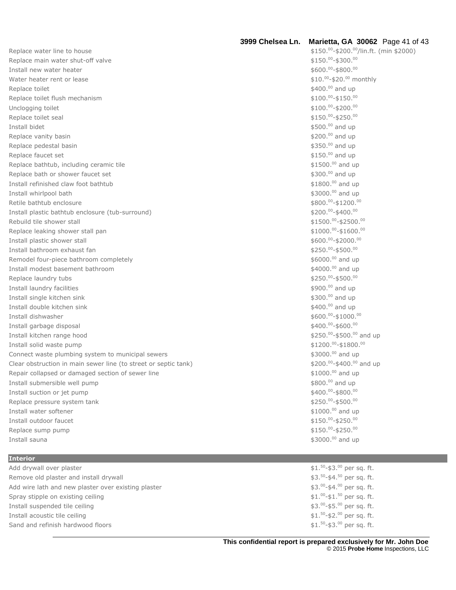| Replace water line to house                                     | \$150.00-\$200.00/lin.ft. (min \$2000)     |
|-----------------------------------------------------------------|--------------------------------------------|
| Replace main water shut-off valve                               | $$150.^{00}$ -\$300.00                     |
| Install new water heater                                        | $$600.^{00}$ -\$800.00                     |
| Water heater rent or lease                                      | \$10.00-\$20.00 monthly                    |
| Replace toilet                                                  | \$400.00 and up                            |
| Replace toilet flush mechanism                                  | $$100.^{00}$ -\$150.00                     |
| Unclogging toilet                                               | $$100.^{00}$ -\$200.00                     |
| Replace toilet seal                                             | $$150.^{00}$ -\$250.00                     |
| Install bidet                                                   | \$500.00 and up                            |
| Replace vanity basin                                            | \$200.00 and up                            |
| Replace pedestal basin                                          | \$350.00 and up                            |
| Replace faucet set                                              | \$150.00 and up                            |
| Replace bathtub, including ceramic tile                         | \$1500.00 and up                           |
| Replace bath or shower faucet set                               | \$300.00 and up                            |
| Install refinished claw foot bathtub                            | \$1800.00 and up                           |
| Install whirlpool bath                                          | \$3000.00 and up                           |
| Retile bathtub enclosure                                        | \$800.00-\$1200.00                         |
| Install plastic bathtub enclosure (tub-surround)                | \$200.00-\$400.00                          |
| Rebuild tile shower stall                                       | $$1500.^{00}$ -\$2500.00                   |
| Replace leaking shower stall pan                                | $$1000.^{00}$ -\$1600.00                   |
| Install plastic shower stall                                    | $$600.^{00}$ -\$2000.00                    |
| Install bathroom exhaust fan                                    | \$250.00-\$500.00                          |
| Remodel four-piece bathroom completely                          | \$6000.00 and up                           |
| Install modest basement bathroom                                | \$4000.00 and up                           |
| Replace laundry tubs                                            | \$250.00-\$500.00                          |
| Install laundry facilities                                      | \$900.00 and up                            |
| Install single kitchen sink                                     | \$300.00 and up                            |
| Install double kitchen sink                                     | \$400.00 and up                            |
| Install dishwasher                                              | \$600.00-\$1000.00                         |
| Install garbage disposal                                        | $$400.^{00}$ -\$600.00                     |
| Install kitchen range hood                                      | \$250.00-\$500.00 and up                   |
| Install solid waste pump                                        | $$1200.^{00}$ -\$1800.00                   |
| Connect waste plumbing system to municipal sewers               | \$3000.00 and up                           |
| Clear obstruction in main sewer line (to street or septic tank) | \$200.00-\$400.00 and up                   |
| Repair collapsed or damaged section of sewer line               | \$1000.00 and up                           |
| Install submersible well pump                                   | \$800.00 and up                            |
| Install suction or jet pump                                     | \$400.00-\$800.00                          |
| Replace pressure system tank                                    | \$250.00-\$500.00                          |
| Install water softener                                          | \$1000.00 and up                           |
| Install outdoor faucet                                          | $$150.^{00}$ -\$250.00                     |
| Replace sump pump                                               | $$150.^{00}$ -\$250.00                     |
| Install sauna                                                   | \$3000.00 and up                           |
|                                                                 |                                            |
| <b>Interior</b>                                                 |                                            |
| Add drywall over plaster                                        | $$1.^{50}$ -\$3.00 per sq. ft.             |
| Remove old plaster and install drywall                          | $$3.^{50}$ -\$4. <sup>50</sup> per sq. ft. |
| Add wire lath and new plaster over existing plaster             | \$3.00-\$4.00 per sq. ft.                  |
| Spray stipple on existing ceiling                               | $$1.^{00}$ -\$1. <sup>50</sup> per sq. ft. |
| Install suspended tile ceiling                                  | \$3.00-\$5.00 per sq. ft.                  |
| Install acoustic tile ceiling                                   | \$1.50-\$2.00 per sq. ft.                  |
| Sand and refinish hardwood floors                               | $$1.50$ -\$3.00 per sq. ft.                |

**3999 Chelsea Ln. Marietta, GA 30062** Page 41 of 43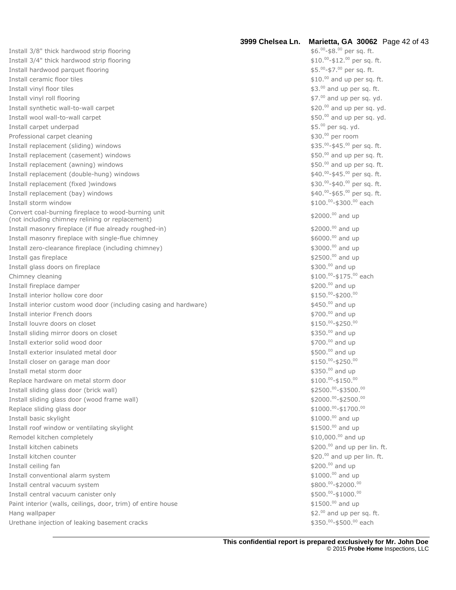Install 3/8" thick hardwood strip flooring Install 3/4" thick hardwood strip flooring Install hardwood parquet flooring \$5. Install ceramic floor tiles \$10. Install vinyl floor tiles \$3. Install vinyl roll flooring \$7. Install synthetic wall-to-wall carpet \$20. Install wool wall-to-wall carpet \$50. Install carpet underpad \$5. Professional carpet cleaning Install replacement (sliding) windows \$35. Install replacement (casement) windows Install replacement (awning) windows \$50. Install replacement (double-hung) windows \$40. Install replacement (fixed )windows Install replacement (bay) windows \$40. Install storm window Convert coal-burning fireplace to wood-burning unit Convert coal-burning fireplace to wood-burning unit<br>(not including chimney relining or replacement)  $\frac{1}{2}$  and up and up and up and up and up and up and up and up and up and up and up and up and up and up and up and up Install masonry fireplace (if flue already roughed-in) example the state of the state of the state of the state of the state of the state of the state of the state of the state of the state of the state of the state of the Install masonry fireplace with single-flue chimney  $$6000$ .<sup>00</sup> and up Install zero-clearance fireplace (including chimney) 63000.<sup>00</sup> and up Install gas fireplace  $$2500.^{00}$  and up Install glass doors on fireplace  $$300.00$  and up Chimney cleaning Install fireplace damper **but a set of the set of the set of the set of the set of the set of the set of the set of the set of the set of the set of the set of the set of the set of the set of the set of the set of the set** Install interior hollow core door Install interior custom wood door (including casing and hardware) 6450.00 and up Install interior French doors **\$700.<sup>00</sup> and up** and up the state of the state of the state of the state of the state of the state of the state of the state of the state of the state of the state of the state of the state Install louvre doors on closet Install sliding mirror doors on closet Install exterior solid wood door  $$700.00$  and up the state of the state of the state  $$700.00$  and up the state of the state of the state of the state of the state of the state of the state of the state of the state of t Install exterior insulated metal door **\$500.00 and up and up and up and up and up and up**  $$500.00$  and up Install closer on garage man door Install metal storm door **being the storm of the storm of the storm**  $\sim$  \$350.<sup>00</sup> and up Replace hardware on metal storm door Install sliding glass door (brick wall) Install sliding glass door (wood frame wall) Replace sliding glass door Install basic skylight Install roof window or ventilating skylight Remodel kitchen completely and up the state of the state of the state of the state of the state of the state of the state of the state of the state of the state of the state of the state of the state of the state of the st Install kitchen cabinets **EXECUTE:**  $\frac{1}{2}$  and up per lin. ft. Install kitchen counter  $$20.^{00}$  and up per lin. ft. Install ceiling fan Install conventional alarm system **by a strategies of the system**  $$1000.00$  and up Install central vacuum system Install central vacuum canister only \$500. Paint interior (walls, ceilings, door, trim) of entire house Hang wallpaper Urethane injection of leaking basement cracks

**3999 Chelsea Ln. Marietta, GA 30062** Page 42 of 43  $^{00}$ -\$8. $^{00}$  per sq. ft.  $^{00}$ -\$12. $^{00}$  per sq. ft. <sup>00</sup>-\$7.<sup>00</sup> per sq. ft.  $$10.00$  and up per sq. ft.  $$3.^{00}$  and up per sq. ft.  $$7.^{00}$  and up per sq. yd.  $$20.<sup>00</sup>$  and up per sq. yd.  $$50.^{00}$  and up per sq. yd. \$5.00 per sq. yd. \$30.00 per room  $00 - $45.00$  per sq. ft.  $$50.^{00}$  and up per sq. ft.  $$50.<sup>00</sup>$  and up per sq. ft.  $00 - $45.00$  per sq. ft. 00-\$40.00 per sq. ft.  $00 - $65$ .  $00$  per sq. ft.  $$100.^{00}$ -\$300. $^{00}$  each -\$175. <sup>00</sup> each  $00 - $200.00$  $00 - $250.00$  $$350.<sup>00</sup>$  and up  $-$ \$250. $0$ <sup>00</sup>  $00 - $150.00$  $^{00}$ -\$3500. $^{00}$  $00 - $2500.00$  $00 - $1700.00$  $$1000.<sup>00</sup>$  and up  $$1500.<sup>00</sup>$  and up  $$200.<sup>00</sup>$  and up  $00 - $2000.^{00}$  $00 - $1000.^00$  $$1500.<sup>00</sup>$  and up  $$2.^{00}$  and up per sq. ft.

-\$500. <sup>00</sup> each